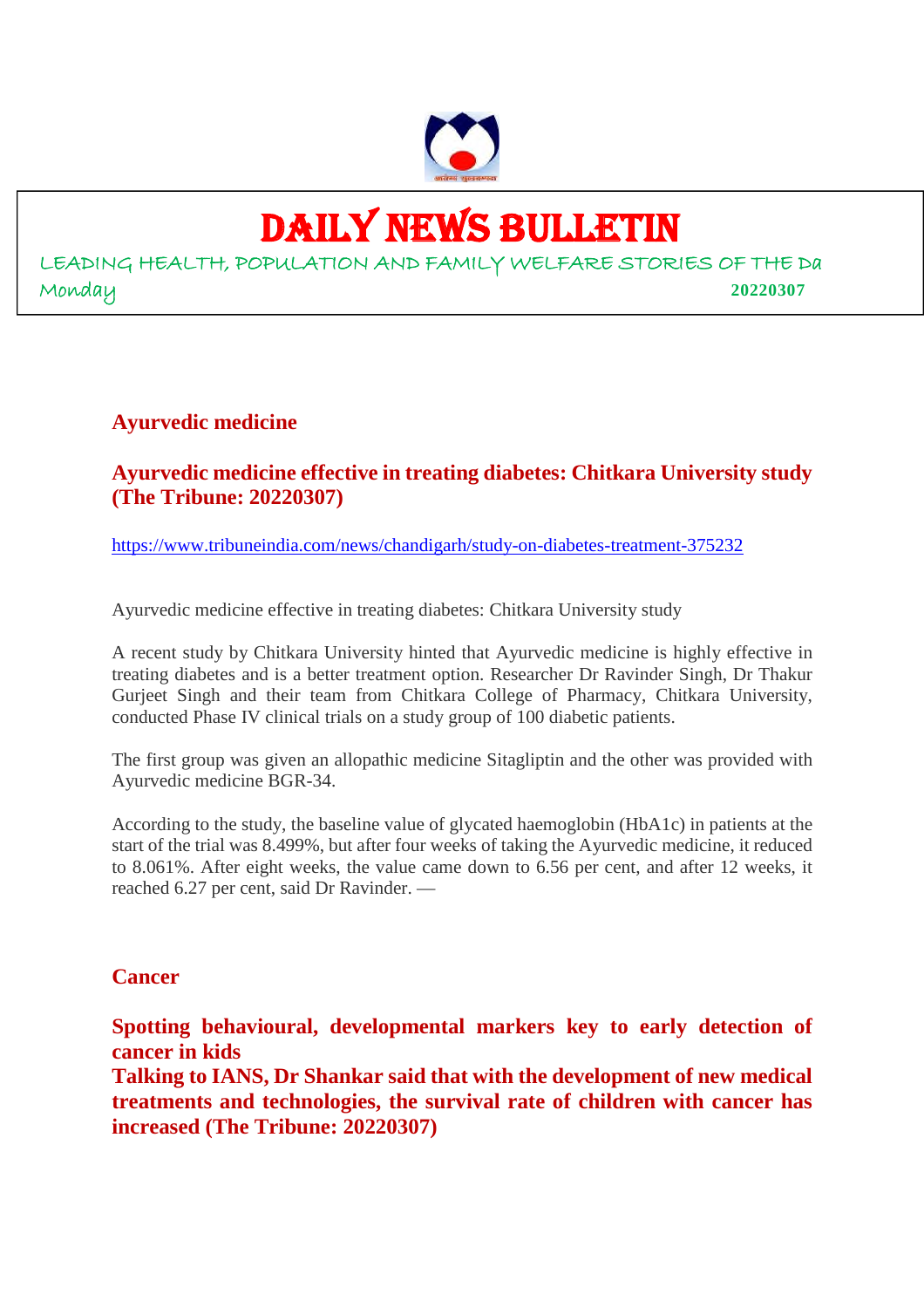

# DAILY NEWS BULLETIN

LEADING HEALTH, POPULATION AND FAMILY WELFARE STORIES OF THE Da Monday **20220307**

# **Ayurvedic medicine**

# **Ayurvedic medicine effective in treating diabetes: Chitkara University study (The Tribune: 20220307)**

https://www.tribuneindia.com/news/chandigarh/study-on-diabetes-treatment-375232

Ayurvedic medicine effective in treating diabetes: Chitkara University study

A recent study by Chitkara University hinted that Ayurvedic medicine is highly effective in treating diabetes and is a better treatment option. Researcher Dr Ravinder Singh, Dr Thakur Gurjeet Singh and their team from Chitkara College of Pharmacy, Chitkara University, conducted Phase IV clinical trials on a study group of 100 diabetic patients.

The first group was given an allopathic medicine Sitagliptin and the other was provided with Ayurvedic medicine BGR-34.

According to the study, the baseline value of glycated haemoglobin (HbA1c) in patients at the start of the trial was 8.499%, but after four weeks of taking the Ayurvedic medicine, it reduced to 8.061%. After eight weeks, the value came down to 6.56 per cent, and after 12 weeks, it reached 6.27 per cent, said Dr Ravinder. —

### **Cancer**

**Spotting behavioural, developmental markers key to early detection of cancer in kids**

**Talking to IANS, Dr Shankar said that with the development of new medical treatments and technologies, the survival rate of children with cancer has increased (The Tribune: 20220307)**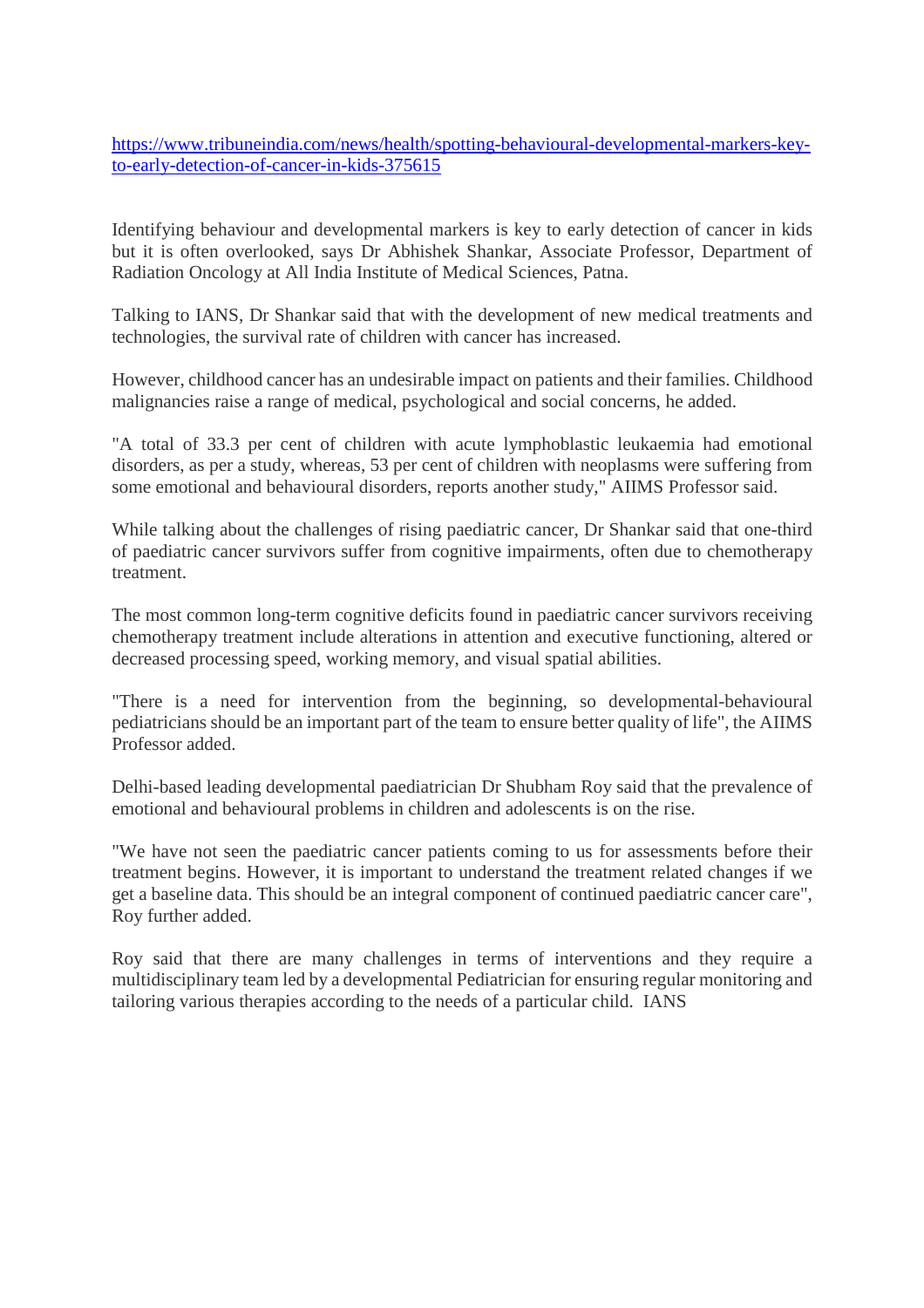https://www.tribuneindia.com/news/health/spotting-behavioural-developmental-markers-keyto-early-detection-of-cancer-in-kids-375615

Identifying behaviour and developmental markers is key to early detection of cancer in kids but it is often overlooked, says Dr Abhishek Shankar, Associate Professor, Department of Radiation Oncology at All India Institute of Medical Sciences, Patna.

Talking to IANS, Dr Shankar said that with the development of new medical treatments and technologies, the survival rate of children with cancer has increased.

However, childhood cancer has an undesirable impact on patients and their families. Childhood malignancies raise a range of medical, psychological and social concerns, he added.

"A total of 33.3 per cent of children with acute lymphoblastic leukaemia had emotional disorders, as per a study, whereas, 53 per cent of children with neoplasms were suffering from some emotional and behavioural disorders, reports another study," AIIMS Professor said.

While talking about the challenges of rising paediatric cancer, Dr Shankar said that one-third of paediatric cancer survivors suffer from cognitive impairments, often due to chemotherapy treatment.

The most common long-term cognitive deficits found in paediatric cancer survivors receiving chemotherapy treatment include alterations in attention and executive functioning, altered or decreased processing speed, working memory, and visual spatial abilities.

"There is a need for intervention from the beginning, so developmental-behavioural pediatricians should be an important part of the team to ensure better quality of life", the AIIMS Professor added.

Delhi-based leading developmental paediatrician Dr Shubham Roy said that the prevalence of emotional and behavioural problems in children and adolescents is on the rise.

"We have not seen the paediatric cancer patients coming to us for assessments before their treatment begins. However, it is important to understand the treatment related changes if we get a baseline data. This should be an integral component of continued paediatric cancer care", Roy further added.

Roy said that there are many challenges in terms of interventions and they require a multidisciplinary team led by a developmental Pediatrician for ensuring regular monitoring and tailoring various therapies according to the needs of a particular child. IANS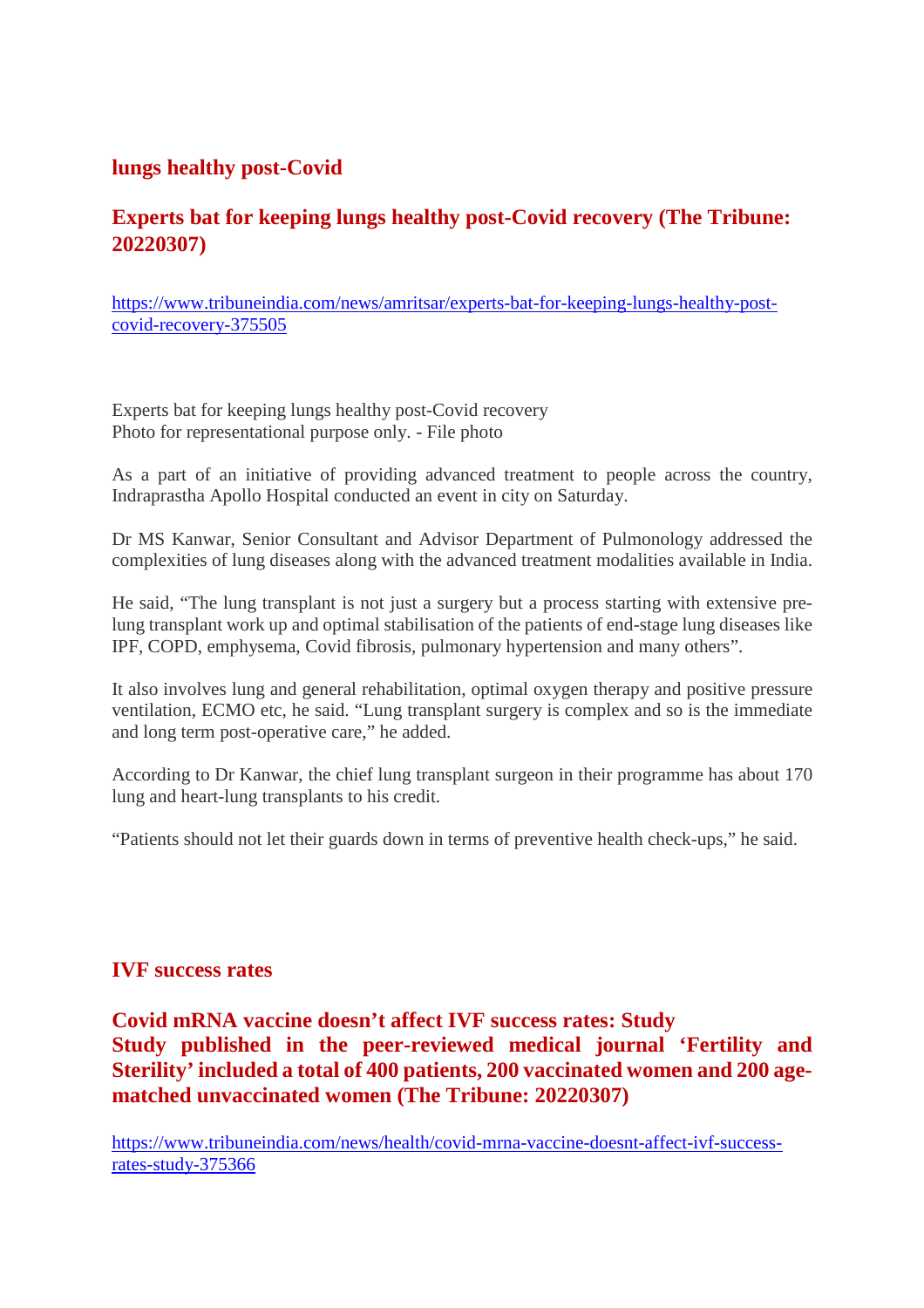# **lungs healthy post-Covid**

# **Experts bat for keeping lungs healthy post-Covid recovery (The Tribune: 20220307)**

https://www.tribuneindia.com/news/amritsar/experts-bat-for-keeping-lungs-healthy-postcovid-recovery-375505

Experts bat for keeping lungs healthy post-Covid recovery Photo for representational purpose only. - File photo

As a part of an initiative of providing advanced treatment to people across the country, Indraprastha Apollo Hospital conducted an event in city on Saturday.

Dr MS Kanwar, Senior Consultant and Advisor Department of Pulmonology addressed the complexities of lung diseases along with the advanced treatment modalities available in India.

He said, "The lung transplant is not just a surgery but a process starting with extensive prelung transplant work up and optimal stabilisation of the patients of end-stage lung diseases like IPF, COPD, emphysema, Covid fibrosis, pulmonary hypertension and many others".

It also involves lung and general rehabilitation, optimal oxygen therapy and positive pressure ventilation, ECMO etc, he said. "Lung transplant surgery is complex and so is the immediate and long term post-operative care," he added.

According to Dr Kanwar, the chief lung transplant surgeon in their programme has about 170 lung and heart-lung transplants to his credit.

"Patients should not let their guards down in terms of preventive health check-ups," he said.

### **IVF success rates**

**Covid mRNA vaccine doesn't affect IVF success rates: Study Study published in the peer-reviewed medical journal 'Fertility and Sterility' included a total of 400 patients, 200 vaccinated women and 200 agematched unvaccinated women (The Tribune: 20220307)**

https://www.tribuneindia.com/news/health/covid-mrna-vaccine-doesnt-affect-ivf-successrates-study-375366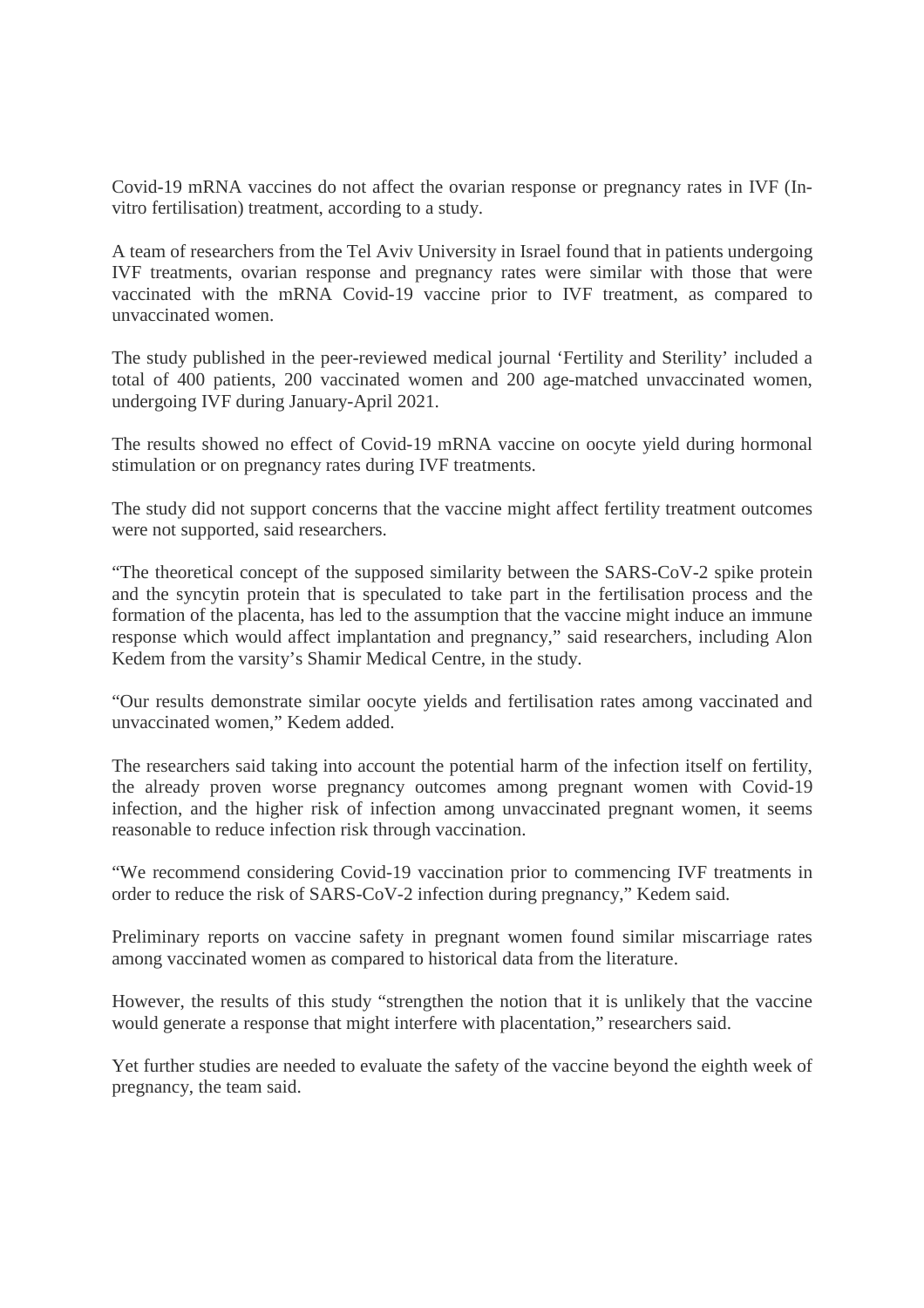Covid-19 mRNA vaccines do not affect the ovarian response or pregnancy rates in IVF (Invitro fertilisation) treatment, according to a study.

A team of researchers from the Tel Aviv University in Israel found that in patients undergoing IVF treatments, ovarian response and pregnancy rates were similar with those that were vaccinated with the mRNA Covid-19 vaccine prior to IVF treatment, as compared to unvaccinated women.

The study published in the peer-reviewed medical journal 'Fertility and Sterility' included a total of 400 patients, 200 vaccinated women and 200 age-matched unvaccinated women, undergoing IVF during January-April 2021.

The results showed no effect of Covid-19 mRNA vaccine on oocyte yield during hormonal stimulation or on pregnancy rates during IVF treatments.

The study did not support concerns that the vaccine might affect fertility treatment outcomes were not supported, said researchers.

"The theoretical concept of the supposed similarity between the SARS-CoV-2 spike protein and the syncytin protein that is speculated to take part in the fertilisation process and the formation of the placenta, has led to the assumption that the vaccine might induce an immune response which would affect implantation and pregnancy," said researchers, including Alon Kedem from the varsity's Shamir Medical Centre, in the study.

"Our results demonstrate similar oocyte yields and fertilisation rates among vaccinated and unvaccinated women," Kedem added.

The researchers said taking into account the potential harm of the infection itself on fertility, the already proven worse pregnancy outcomes among pregnant women with Covid-19 infection, and the higher risk of infection among unvaccinated pregnant women, it seems reasonable to reduce infection risk through vaccination.

"We recommend considering Covid-19 vaccination prior to commencing IVF treatments in order to reduce the risk of SARS-CoV-2 infection during pregnancy," Kedem said.

Preliminary reports on vaccine safety in pregnant women found similar miscarriage rates among vaccinated women as compared to historical data from the literature.

However, the results of this study "strengthen the notion that it is unlikely that the vaccine would generate a response that might interfere with placentation," researchers said.

Yet further studies are needed to evaluate the safety of the vaccine beyond the eighth week of pregnancy, the team said.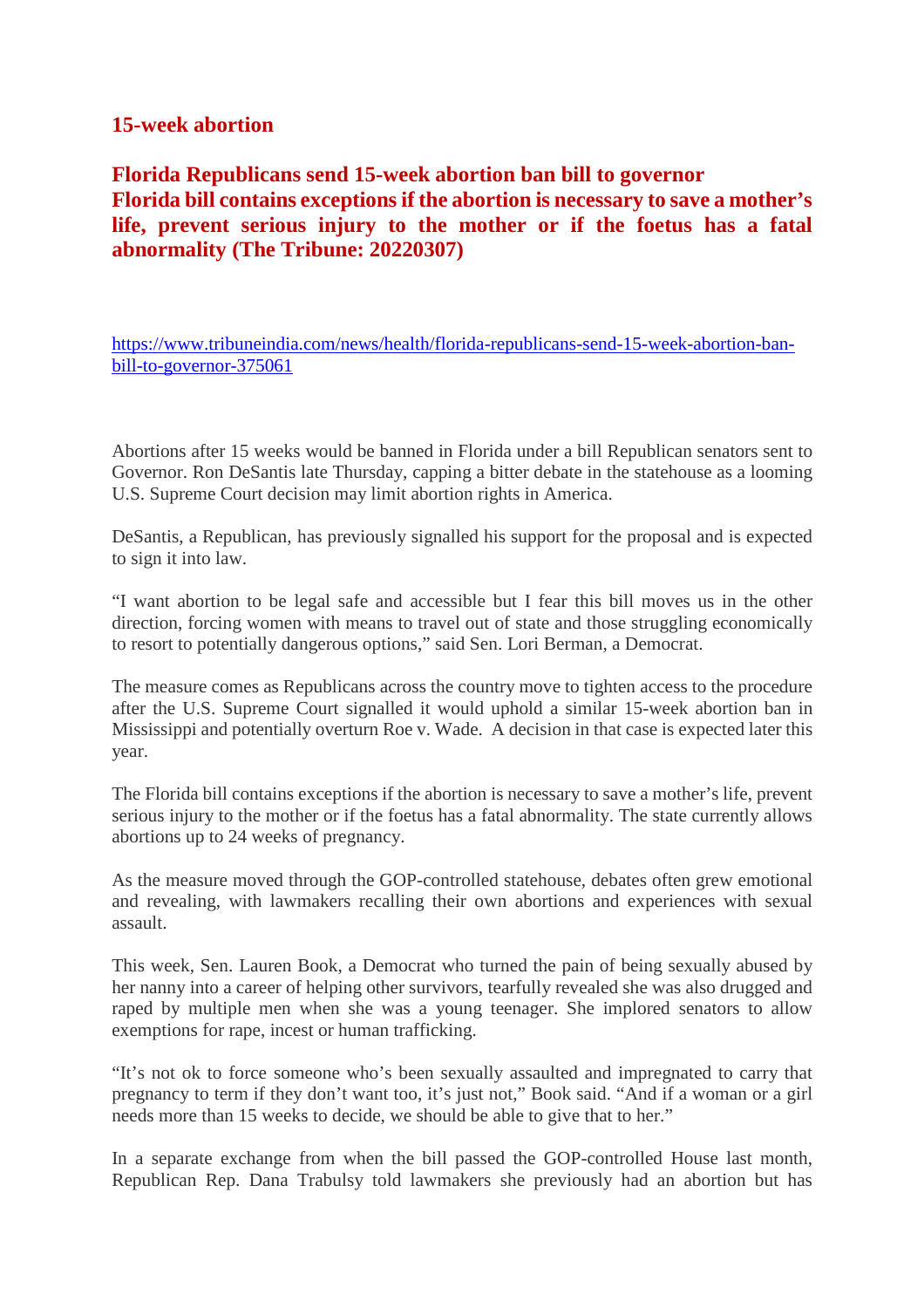### **15-week abortion**

# **Florida Republicans send 15-week abortion ban bill to governor Florida bill contains exceptions if the abortion is necessary to save a mother's life, prevent serious injury to the mother or if the foetus has a fatal abnormality (The Tribune: 20220307)**

https://www.tribuneindia.com/news/health/florida-republicans-send-15-week-abortion-banbill-to-governor-375061

Abortions after 15 weeks would be banned in Florida under a bill Republican senators sent to Governor. Ron DeSantis late Thursday, capping a bitter debate in the statehouse as a looming U.S. Supreme Court decision may limit abortion rights in America.

DeSantis, a Republican, has previously signalled his support for the proposal and is expected to sign it into law.

"I want abortion to be legal safe and accessible but I fear this bill moves us in the other direction, forcing women with means to travel out of state and those struggling economically to resort to potentially dangerous options," said Sen. Lori Berman, a Democrat.

The measure comes as Republicans across the country move to tighten access to the procedure after the U.S. Supreme Court signalled it would uphold a similar 15-week abortion ban in Mississippi and potentially overturn Roe v. Wade. A decision in that case is expected later this year.

The Florida bill contains exceptions if the abortion is necessary to save a mother's life, prevent serious injury to the mother or if the foetus has a fatal abnormality. The state currently allows abortions up to 24 weeks of pregnancy.

As the measure moved through the GOP-controlled statehouse, debates often grew emotional and revealing, with lawmakers recalling their own abortions and experiences with sexual assault.

This week, Sen. Lauren Book, a Democrat who turned the pain of being sexually abused by her nanny into a career of helping other survivors, tearfully revealed she was also drugged and raped by multiple men when she was a young teenager. She implored senators to allow exemptions for rape, incest or human trafficking.

"It's not ok to force someone who's been sexually assaulted and impregnated to carry that pregnancy to term if they don't want too, it's just not," Book said. "And if a woman or a girl needs more than 15 weeks to decide, we should be able to give that to her."

In a separate exchange from when the bill passed the GOP-controlled House last month, Republican Rep. Dana Trabulsy told lawmakers she previously had an abortion but has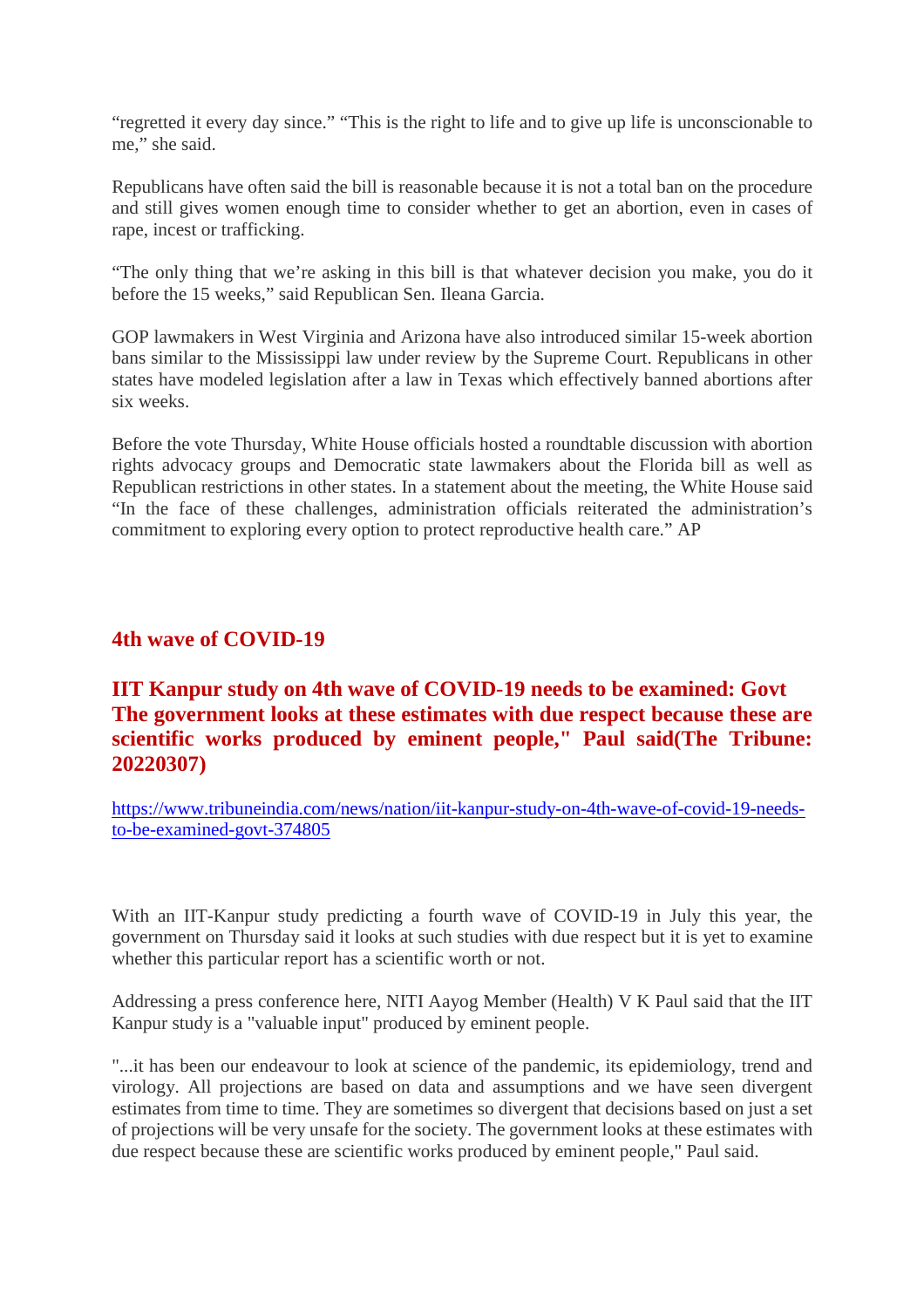"regretted it every day since." "This is the right to life and to give up life is unconscionable to me," she said.

Republicans have often said the bill is reasonable because it is not a total ban on the procedure and still gives women enough time to consider whether to get an abortion, even in cases of rape, incest or trafficking.

"The only thing that we're asking in this bill is that whatever decision you make, you do it before the 15 weeks," said Republican Sen. Ileana Garcia.

GOP lawmakers in West Virginia and Arizona have also introduced similar 15-week abortion bans similar to the Mississippi law under review by the Supreme Court. Republicans in other states have modeled legislation after a law in Texas which effectively banned abortions after six weeks.

Before the vote Thursday, White House officials hosted a roundtable discussion with abortion rights advocacy groups and Democratic state lawmakers about the Florida bill as well as Republican restrictions in other states. In a statement about the meeting, the White House said "In the face of these challenges, administration officials reiterated the administration's commitment to exploring every option to protect reproductive health care." AP

### **4th wave of COVID-19**

# **IIT Kanpur study on 4th wave of COVID-19 needs to be examined: Govt The government looks at these estimates with due respect because these are scientific works produced by eminent people," Paul said(The Tribune: 20220307)**

https://www.tribuneindia.com/news/nation/iit-kanpur-study-on-4th-wave-of-covid-19-needsto-be-examined-govt-374805

With an IIT-Kanpur study predicting a fourth wave of COVID-19 in July this year, the government on Thursday said it looks at such studies with due respect but it is yet to examine whether this particular report has a scientific worth or not.

Addressing a press conference here, NITI Aayog Member (Health) V K Paul said that the IIT Kanpur study is a "valuable input" produced by eminent people.

"...it has been our endeavour to look at science of the pandemic, its epidemiology, trend and virology. All projections are based on data and assumptions and we have seen divergent estimates from time to time. They are sometimes so divergent that decisions based on just a set of projections will be very unsafe for the society. The government looks at these estimates with due respect because these are scientific works produced by eminent people," Paul said.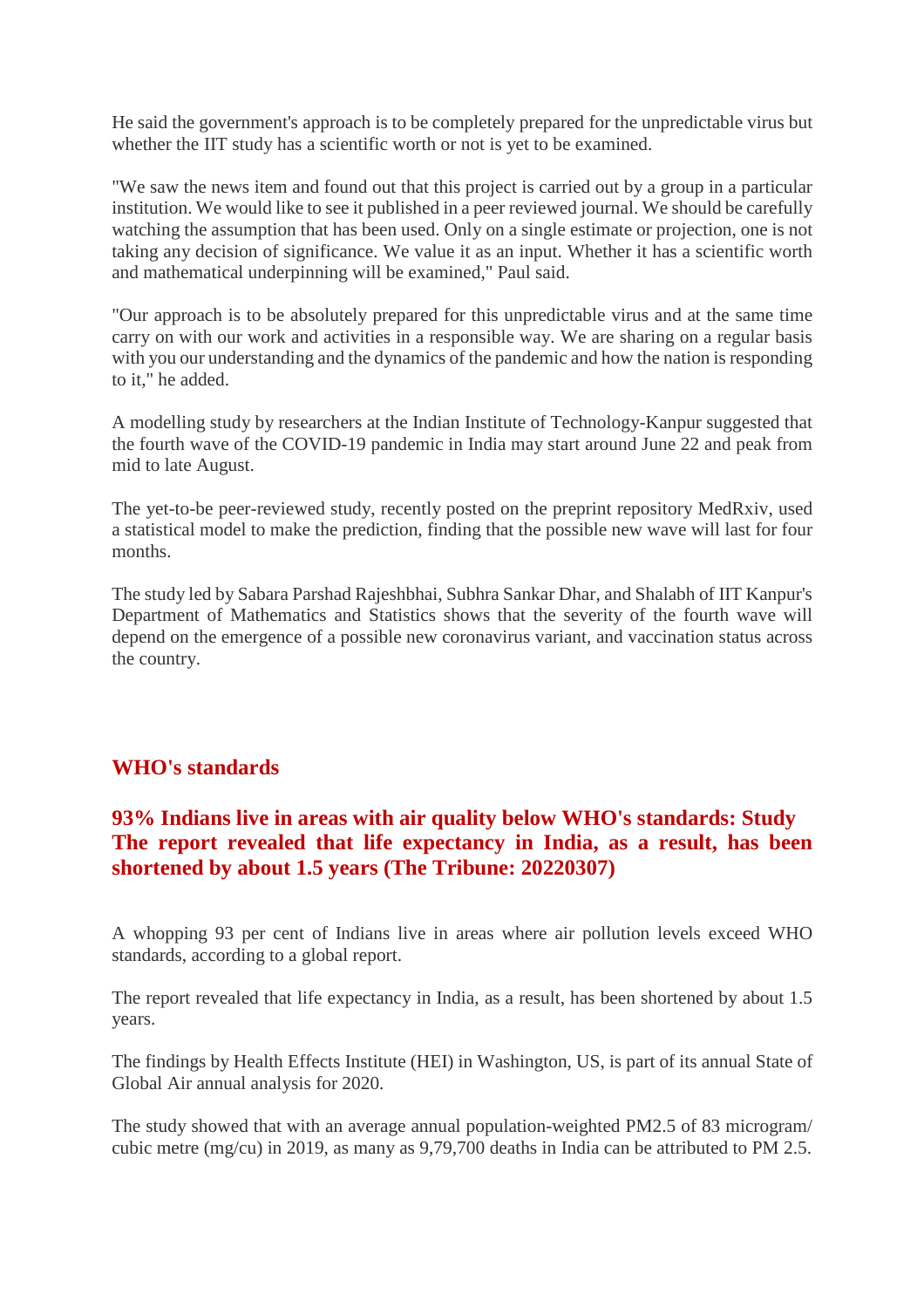He said the government's approach is to be completely prepared for the unpredictable virus but whether the IIT study has a scientific worth or not is yet to be examined.

"We saw the news item and found out that this project is carried out by a group in a particular institution. We would like to see it published in a peer reviewed journal. We should be carefully watching the assumption that has been used. Only on a single estimate or projection, one is not taking any decision of significance. We value it as an input. Whether it has a scientific worth and mathematical underpinning will be examined," Paul said.

"Our approach is to be absolutely prepared for this unpredictable virus and at the same time carry on with our work and activities in a responsible way. We are sharing on a regular basis with you our understanding and the dynamics of the pandemic and how the nation is responding to it," he added.

A modelling study by researchers at the Indian Institute of Technology-Kanpur suggested that the fourth wave of the COVID-19 pandemic in India may start around June 22 and peak from mid to late August.

The yet-to-be peer-reviewed study, recently posted on the preprint repository MedRxiv, used a statistical model to make the prediction, finding that the possible new wave will last for four months.

The study led by Sabara Parshad Rajeshbhai, Subhra Sankar Dhar, and Shalabh of IIT Kanpur's Department of Mathematics and Statistics shows that the severity of the fourth wave will depend on the emergence of a possible new coronavirus variant, and vaccination status across the country.

### **WHO's standards**

# **93% Indians live in areas with air quality below WHO's standards: Study The report revealed that life expectancy in India, as a result, has been shortened by about 1.5 years (The Tribune: 20220307)**

A whopping 93 per cent of Indians live in areas where air pollution levels exceed WHO standards, according to a global report.

The report revealed that life expectancy in India, as a result, has been shortened by about 1.5 years.

The findings by Health Effects Institute (HEI) in Washington, US, is part of its annual State of Global Air annual analysis for 2020.

The study showed that with an average annual population-weighted PM2.5 of 83 microgram/ cubic metre (mg/cu) in 2019, as many as 9,79,700 deaths in India can be attributed to PM 2.5.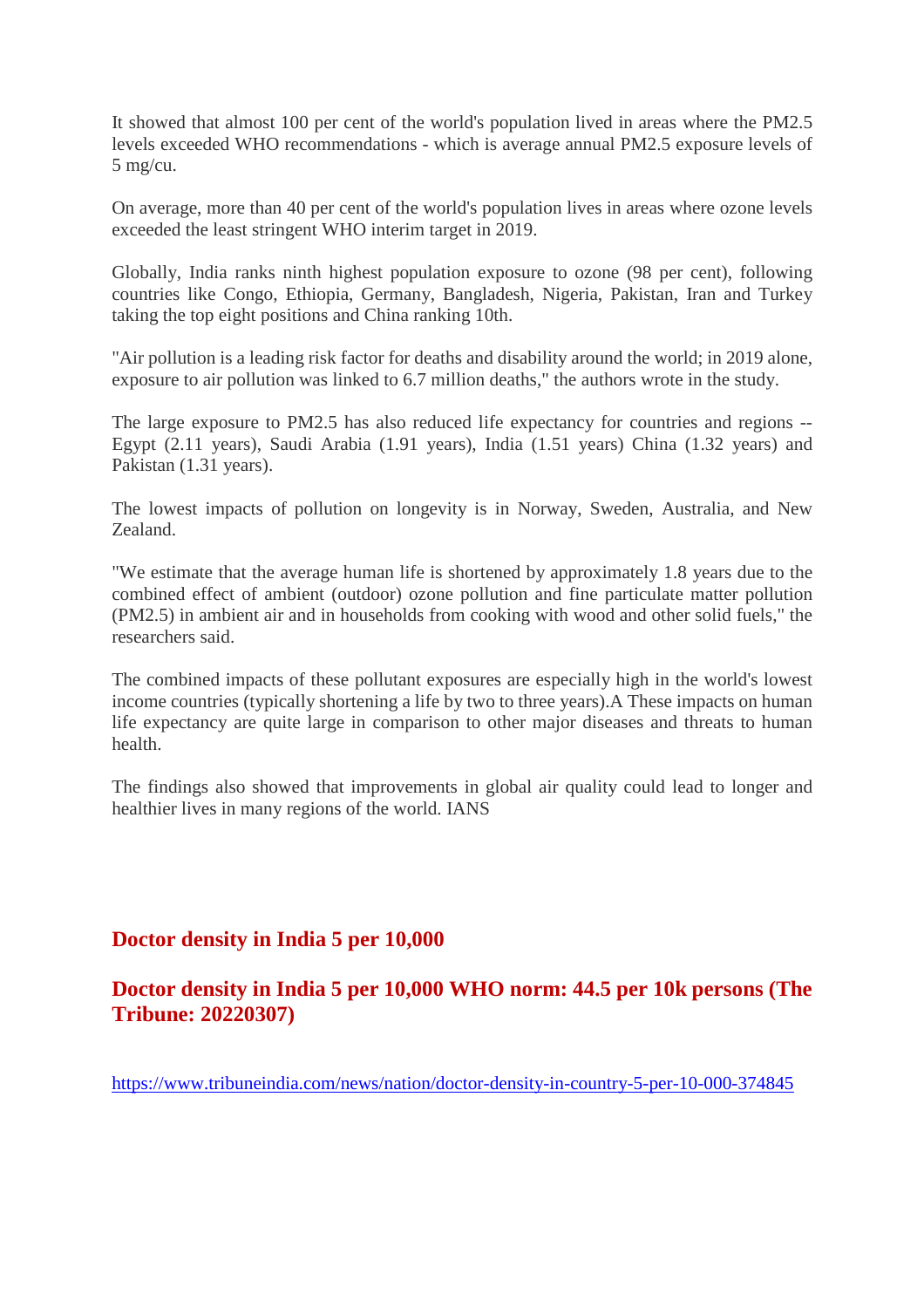It showed that almost 100 per cent of the world's population lived in areas where the PM2.5 levels exceeded WHO recommendations - which is average annual PM2.5 exposure levels of 5 mg/cu.

On average, more than 40 per cent of the world's population lives in areas where ozone levels exceeded the least stringent WHO interim target in 2019.

Globally, India ranks ninth highest population exposure to ozone (98 per cent), following countries like Congo, Ethiopia, Germany, Bangladesh, Nigeria, Pakistan, Iran and Turkey taking the top eight positions and China ranking 10th.

"Air pollution is a leading risk factor for deaths and disability around the world; in 2019 alone, exposure to air pollution was linked to 6.7 million deaths," the authors wrote in the study.

The large exposure to PM2.5 has also reduced life expectancy for countries and regions -- Egypt (2.11 years), Saudi Arabia (1.91 years), India (1.51 years) China (1.32 years) and Pakistan (1.31 years).

The lowest impacts of pollution on longevity is in Norway, Sweden, Australia, and New Zealand.

"We estimate that the average human life is shortened by approximately 1.8 years due to the combined effect of ambient (outdoor) ozone pollution and fine particulate matter pollution (PM2.5) in ambient air and in households from cooking with wood and other solid fuels," the researchers said.

The combined impacts of these pollutant exposures are especially high in the world's lowest income countries (typically shortening a life by two to three years).A These impacts on human life expectancy are quite large in comparison to other major diseases and threats to human health.

The findings also showed that improvements in global air quality could lead to longer and healthier lives in many regions of the world. IANS

### **Doctor density in India 5 per 10,000**

### **Doctor density in India 5 per 10,000 WHO norm: 44.5 per 10k persons (The Tribune: 20220307)**

https://www.tribuneindia.com/news/nation/doctor-density-in-country-5-per-10-000-374845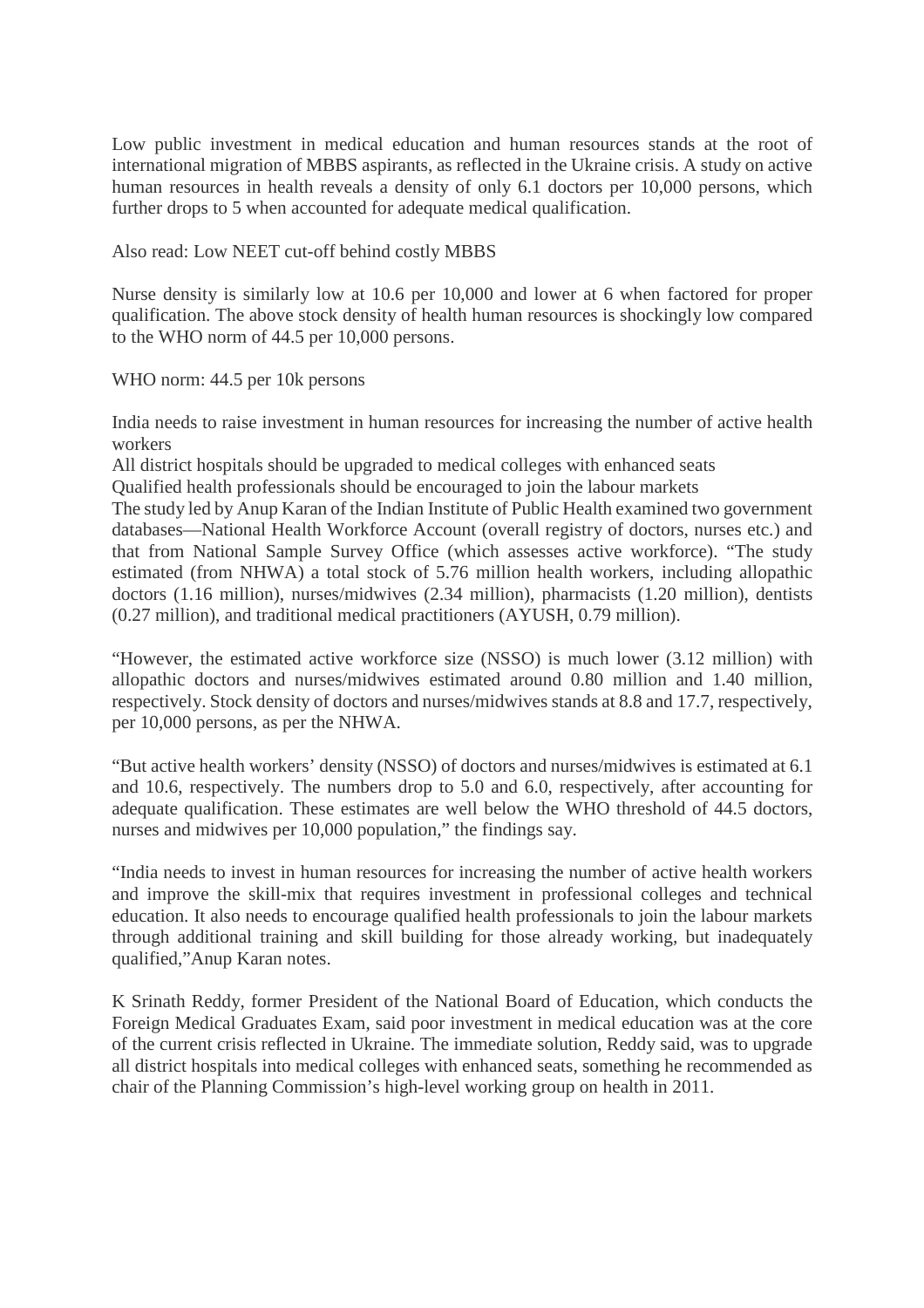Low public investment in medical education and human resources stands at the root of international migration of MBBS aspirants, as reflected in the Ukraine crisis. A study on active human resources in health reveals a density of only 6.1 doctors per 10,000 persons, which further drops to 5 when accounted for adequate medical qualification.

Also read: Low NEET cut-off behind costly MBBS

Nurse density is similarly low at 10.6 per 10,000 and lower at 6 when factored for proper qualification. The above stock density of health human resources is shockingly low compared to the WHO norm of 44.5 per 10,000 persons.

WHO norm: 44.5 per 10k persons

India needs to raise investment in human resources for increasing the number of active health workers

All district hospitals should be upgraded to medical colleges with enhanced seats

Qualified health professionals should be encouraged to join the labour markets

The study led by Anup Karan of the Indian Institute of Public Health examined two government databases—National Health Workforce Account (overall registry of doctors, nurses etc.) and that from National Sample Survey Office (which assesses active workforce). "The study estimated (from NHWA) a total stock of 5.76 million health workers, including allopathic doctors (1.16 million), nurses/midwives (2.34 million), pharmacists (1.20 million), dentists (0.27 million), and traditional medical practitioners (AYUSH, 0.79 million).

"However, the estimated active workforce size (NSSO) is much lower (3.12 million) with allopathic doctors and nurses/midwives estimated around 0.80 million and 1.40 million, respectively. Stock density of doctors and nurses/midwives stands at 8.8 and 17.7, respectively, per 10,000 persons, as per the NHWA.

"But active health workers' density (NSSO) of doctors and nurses/midwives is estimated at 6.1 and 10.6, respectively. The numbers drop to 5.0 and 6.0, respectively, after accounting for adequate qualification. These estimates are well below the WHO threshold of 44.5 doctors, nurses and midwives per 10,000 population," the findings say.

"India needs to invest in human resources for increasing the number of active health workers and improve the skill-mix that requires investment in professional colleges and technical education. It also needs to encourage qualified health professionals to join the labour markets through additional training and skill building for those already working, but inadequately qualified,"Anup Karan notes.

K Srinath Reddy, former President of the National Board of Education, which conducts the Foreign Medical Graduates Exam, said poor investment in medical education was at the core of the current crisis reflected in Ukraine. The immediate solution, Reddy said, was to upgrade all district hospitals into medical colleges with enhanced seats, something he recommended as chair of the Planning Commission's high-level working group on health in 2011.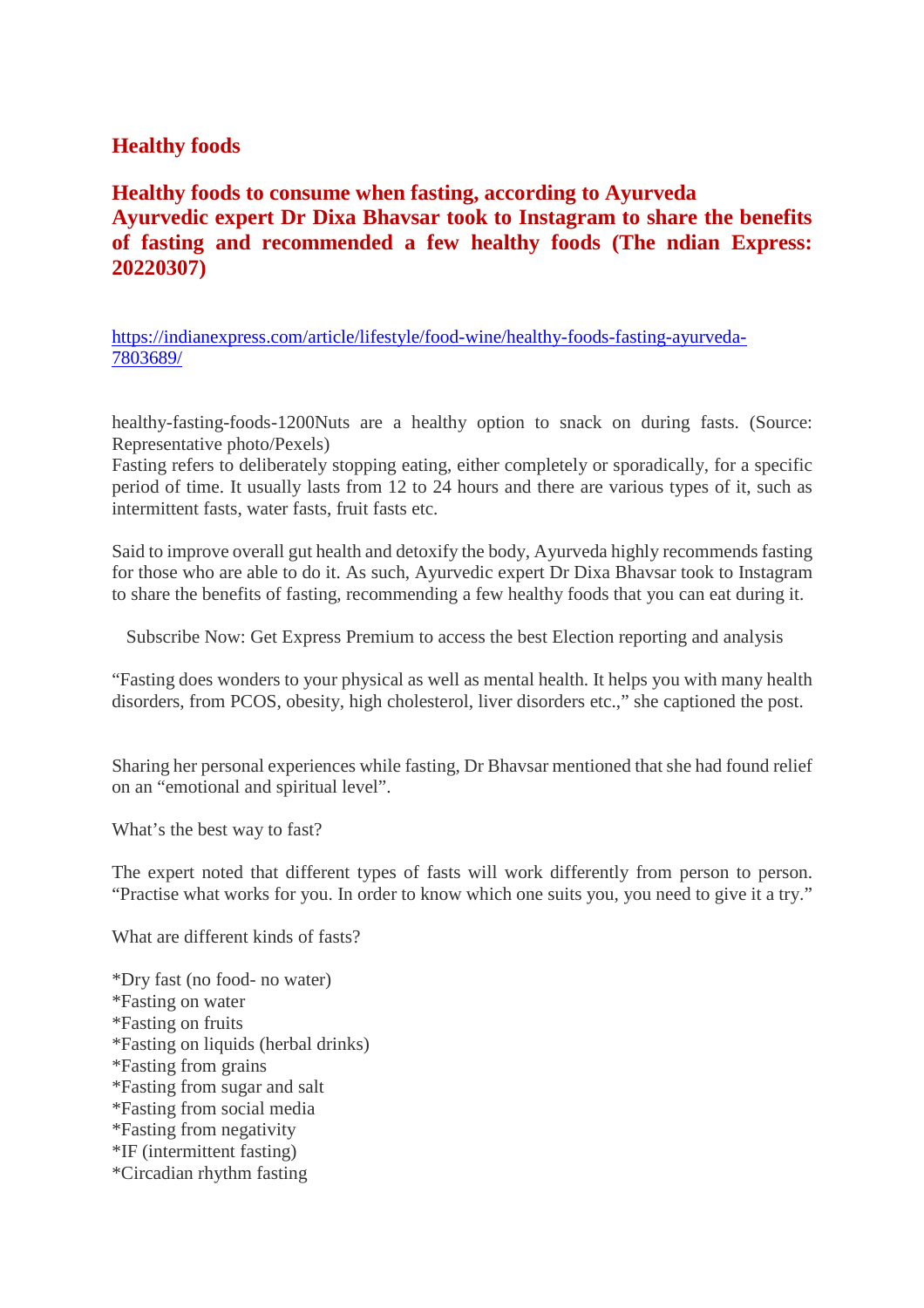### **Healthy foods**

# **Healthy foods to consume when fasting, according to Ayurveda Ayurvedic expert Dr Dixa Bhavsar took to Instagram to share the benefits of fasting and recommended a few healthy foods (The ndian Express: 20220307)**

https://indianexpress.com/article/lifestyle/food-wine/healthy-foods-fasting-ayurveda-7803689/

healthy-fasting-foods-1200Nuts are a healthy option to snack on during fasts. (Source: Representative photo/Pexels)

Fasting refers to deliberately stopping eating, either completely or sporadically, for a specific period of time. It usually lasts from 12 to 24 hours and there are various types of it, such as intermittent fasts, water fasts, fruit fasts etc.

Said to improve overall gut health and detoxify the body, Ayurveda highly recommends fasting for those who are able to do it. As such, Ayurvedic expert Dr Dixa Bhavsar took to Instagram to share the benefits of fasting, recommending a few healthy foods that you can eat during it.

Subscribe Now: Get Express Premium to access the best Election reporting and analysis

"Fasting does wonders to your physical as well as mental health. It helps you with many health disorders, from PCOS, obesity, high cholesterol, liver disorders etc.," she captioned the post.

Sharing her personal experiences while fasting, Dr Bhavsar mentioned that she had found relief on an "emotional and spiritual level".

What's the best way to fast?

The expert noted that different types of fasts will work differently from person to person. "Practise what works for you. In order to know which one suits you, you need to give it a try."

What are different kinds of fasts?

\*Dry fast (no food- no water) \*Fasting on water \*Fasting on fruits \*Fasting on liquids (herbal drinks) \*Fasting from grains \*Fasting from sugar and salt \*Fasting from social media \*Fasting from negativity \*IF (intermittent fasting) \*Circadian rhythm fasting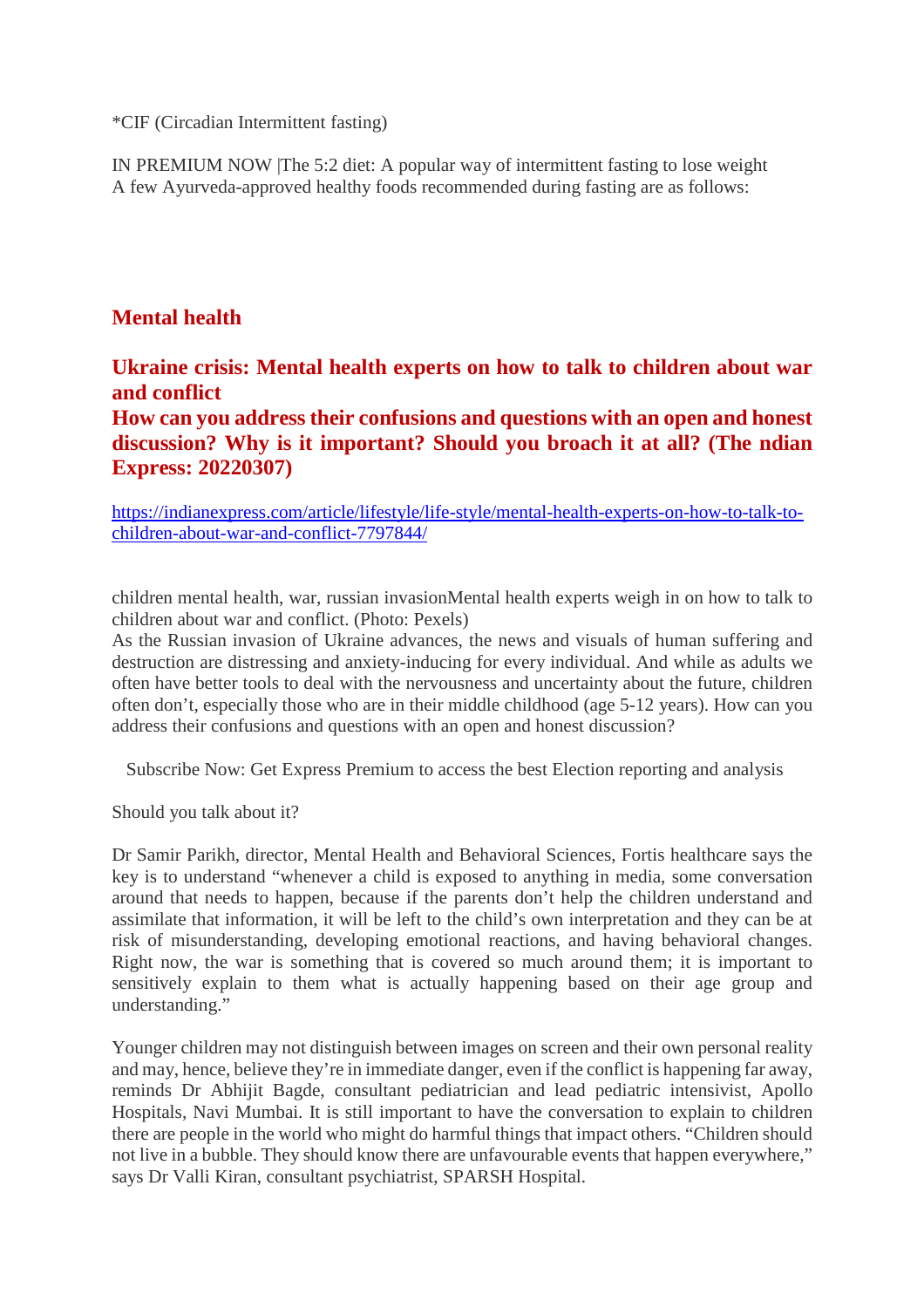\*CIF (Circadian Intermittent fasting)

IN PREMIUM NOW |The 5:2 diet: A popular way of intermittent fasting to lose weight A few Ayurveda-approved healthy foods recommended during fasting are as follows:

# **Mental health**

# **Ukraine crisis: Mental health experts on how to talk to children about war and conflict**

**How can you address their confusions and questions with an open and honest discussion? Why is it important? Should you broach it at all? (The ndian Express: 20220307)**

https://indianexpress.com/article/lifestyle/life-style/mental-health-experts-on-how-to-talk-tochildren-about-war-and-conflict-7797844/

children mental health, war, russian invasionMental health experts weigh in on how to talk to children about war and conflict. (Photo: Pexels)

As the Russian invasion of Ukraine advances, the news and visuals of human suffering and destruction are distressing and anxiety-inducing for every individual. And while as adults we often have better tools to deal with the nervousness and uncertainty about the future, children often don't, especially those who are in their middle childhood (age 5-12 years). How can you address their confusions and questions with an open and honest discussion?

Subscribe Now: Get Express Premium to access the best Election reporting and analysis

Should you talk about it?

Dr Samir Parikh, director, Mental Health and Behavioral Sciences, Fortis healthcare says the key is to understand "whenever a child is exposed to anything in media, some conversation around that needs to happen, because if the parents don't help the children understand and assimilate that information, it will be left to the child's own interpretation and they can be at risk of misunderstanding, developing emotional reactions, and having behavioral changes. Right now, the war is something that is covered so much around them; it is important to sensitively explain to them what is actually happening based on their age group and understanding."

Younger children may not distinguish between images on screen and their own personal reality and may, hence, believe they're in immediate danger, even if the conflict is happening far away, reminds Dr Abhijit Bagde, consultant pediatrician and lead pediatric intensivist, Apollo Hospitals, Navi Mumbai. It is still important to have the conversation to explain to children there are people in the world who might do harmful things that impact others. "Children should not live in a bubble. They should know there are unfavourable events that happen everywhere," says Dr Valli Kiran, consultant psychiatrist, SPARSH Hospital.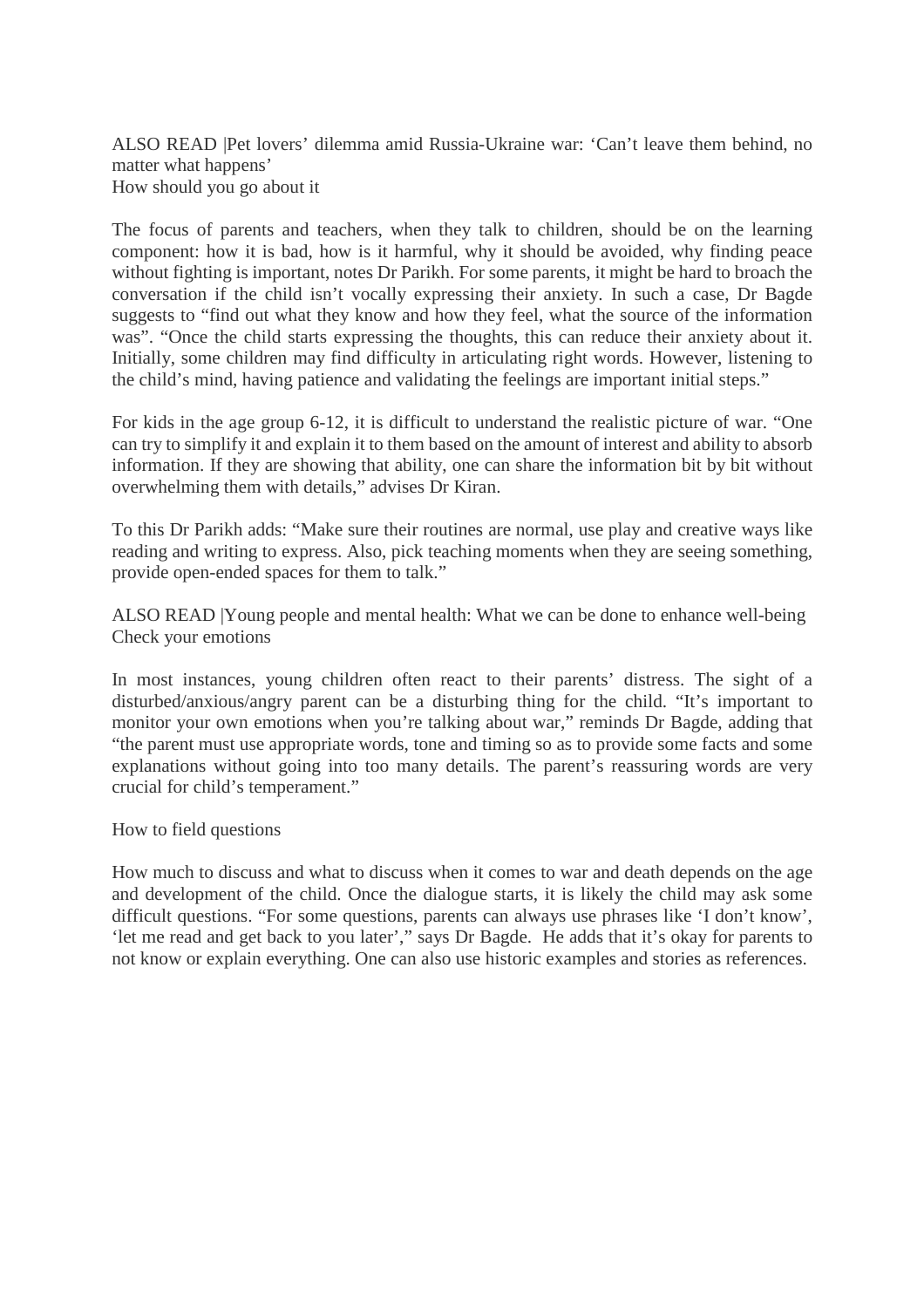ALSO READ |Pet lovers' dilemma amid Russia-Ukraine war: 'Can't leave them behind, no matter what happens' How should you go about it

The focus of parents and teachers, when they talk to children, should be on the learning component: how it is bad, how is it harmful, why it should be avoided, why finding peace without fighting is important, notes Dr Parikh. For some parents, it might be hard to broach the conversation if the child isn't vocally expressing their anxiety. In such a case, Dr Bagde suggests to "find out what they know and how they feel, what the source of the information was". "Once the child starts expressing the thoughts, this can reduce their anxiety about it. Initially, some children may find difficulty in articulating right words. However, listening to the child's mind, having patience and validating the feelings are important initial steps."

For kids in the age group 6-12, it is difficult to understand the realistic picture of war. "One can try to simplify it and explain it to them based on the amount of interest and ability to absorb information. If they are showing that ability, one can share the information bit by bit without overwhelming them with details," advises Dr Kiran.

To this Dr Parikh adds: "Make sure their routines are normal, use play and creative ways like reading and writing to express. Also, pick teaching moments when they are seeing something, provide open-ended spaces for them to talk."

ALSO READ |Young people and mental health: What we can be done to enhance well-being Check your emotions

In most instances, young children often react to their parents' distress. The sight of a disturbed/anxious/angry parent can be a disturbing thing for the child. "It's important to monitor your own emotions when you're talking about war," reminds Dr Bagde, adding that "the parent must use appropriate words, tone and timing so as to provide some facts and some explanations without going into too many details. The parent's reassuring words are very crucial for child's temperament."

How to field questions

How much to discuss and what to discuss when it comes to war and death depends on the age and development of the child. Once the dialogue starts, it is likely the child may ask some difficult questions. "For some questions, parents can always use phrases like 'I don't know', 'let me read and get back to you later'," says Dr Bagde. He adds that it's okay for parents to not know or explain everything. One can also use historic examples and stories as references.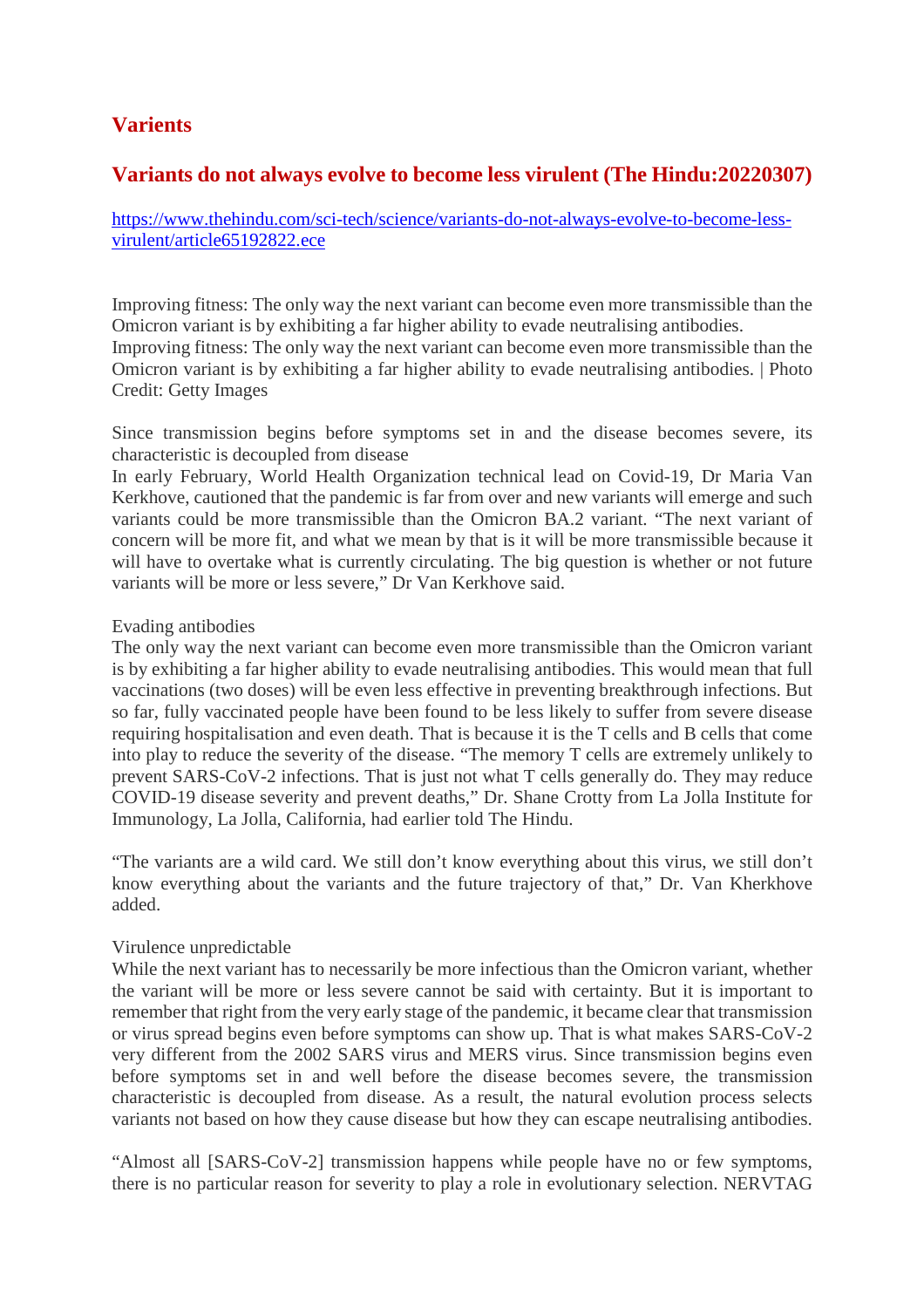# **Varients**

### **Variants do not always evolve to become less virulent (The Hindu:20220307)**

https://www.thehindu.com/sci-tech/science/variants-do-not-always-evolve-to-become-lessvirulent/article65192822.ece

Improving fitness: The only way the next variant can become even more transmissible than the Omicron variant is by exhibiting a far higher ability to evade neutralising antibodies. Improving fitness: The only way the next variant can become even more transmissible than the Omicron variant is by exhibiting a far higher ability to evade neutralising antibodies. | Photo Credit: Getty Images

Since transmission begins before symptoms set in and the disease becomes severe, its characteristic is decoupled from disease

In early February, World Health Organization technical lead on Covid-19, Dr Maria Van Kerkhove, cautioned that the pandemic is far from over and new variants will emerge and such variants could be more transmissible than the Omicron BA.2 variant. "The next variant of concern will be more fit, and what we mean by that is it will be more transmissible because it will have to overtake what is currently circulating. The big question is whether or not future variants will be more or less severe," Dr Van Kerkhove said.

### Evading antibodies

The only way the next variant can become even more transmissible than the Omicron variant is by exhibiting a far higher ability to evade neutralising antibodies. This would mean that full vaccinations (two doses) will be even less effective in preventing breakthrough infections. But so far, fully vaccinated people have been found to be less likely to suffer from severe disease requiring hospitalisation and even death. That is because it is the T cells and B cells that come into play to reduce the severity of the disease. "The memory T cells are extremely unlikely to prevent SARS-CoV-2 infections. That is just not what T cells generally do. They may reduce COVID-19 disease severity and prevent deaths," Dr. Shane Crotty from La Jolla Institute for Immunology, La Jolla, California, had earlier told The Hindu.

"The variants are a wild card. We still don't know everything about this virus, we still don't know everything about the variants and the future trajectory of that," Dr. Van Kherkhove added.

### Virulence unpredictable

While the next variant has to necessarily be more infectious than the Omicron variant, whether the variant will be more or less severe cannot be said with certainty. But it is important to remember that right from the very early stage of the pandemic, it became clear that transmission or virus spread begins even before symptoms can show up. That is what makes SARS-CoV-2 very different from the 2002 SARS virus and MERS virus. Since transmission begins even before symptoms set in and well before the disease becomes severe, the transmission characteristic is decoupled from disease. As a result, the natural evolution process selects variants not based on how they cause disease but how they can escape neutralising antibodies.

"Almost all [SARS-CoV-2] transmission happens while people have no or few symptoms, there is no particular reason for severity to play a role in evolutionary selection. NERVTAG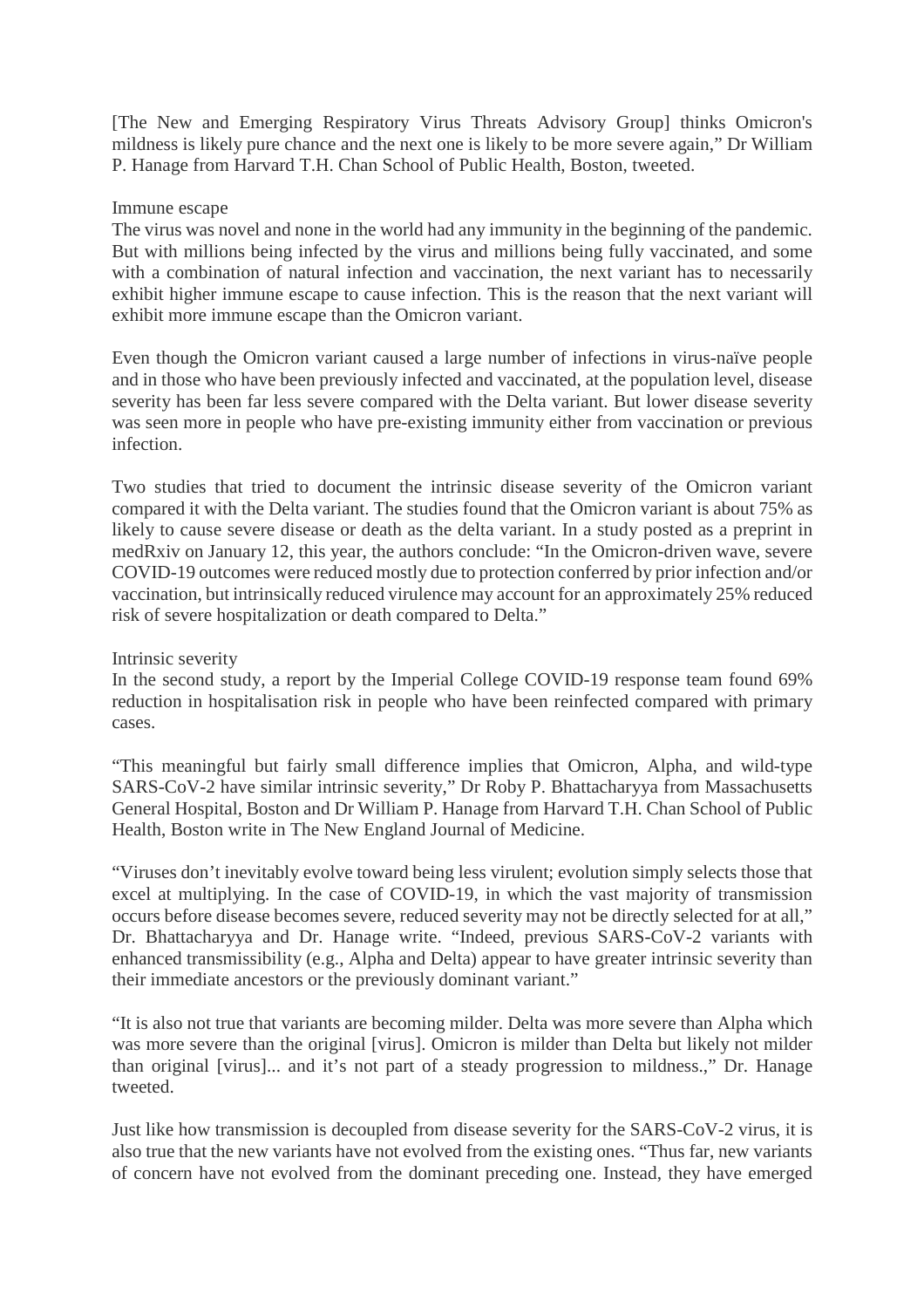[The New and Emerging Respiratory Virus Threats Advisory Group] thinks Omicron's mildness is likely pure chance and the next one is likely to be more severe again," Dr William P. Hanage from Harvard T.H. Chan School of Public Health, Boston, tweeted.

### Immune escape

The virus was novel and none in the world had any immunity in the beginning of the pandemic. But with millions being infected by the virus and millions being fully vaccinated, and some with a combination of natural infection and vaccination, the next variant has to necessarily exhibit higher immune escape to cause infection. This is the reason that the next variant will exhibit more immune escape than the Omicron variant.

Even though the Omicron variant caused a large number of infections in virus-naïve people and in those who have been previously infected and vaccinated, at the population level, disease severity has been far less severe compared with the Delta variant. But lower disease severity was seen more in people who have pre-existing immunity either from vaccination or previous infection.

Two studies that tried to document the intrinsic disease severity of the Omicron variant compared it with the Delta variant. The studies found that the Omicron variant is about 75% as likely to cause severe disease or death as the delta variant. In a study posted as a preprint in medRxiv on January 12, this year, the authors conclude: "In the Omicron-driven wave, severe COVID-19 outcomes were reduced mostly due to protection conferred by prior infection and/or vaccination, but intrinsically reduced virulence may account for an approximately 25% reduced risk of severe hospitalization or death compared to Delta."

Intrinsic severity

In the second study, a report by the Imperial College COVID-19 response team found 69% reduction in hospitalisation risk in people who have been reinfected compared with primary cases.

"This meaningful but fairly small difference implies that Omicron, Alpha, and wild-type SARS-CoV-2 have similar intrinsic severity," Dr Roby P. Bhattacharyya from Massachusetts General Hospital, Boston and Dr William P. Hanage from Harvard T.H. Chan School of Public Health, Boston write in The New England Journal of Medicine.

"Viruses don't inevitably evolve toward being less virulent; evolution simply selects those that excel at multiplying. In the case of COVID-19, in which the vast majority of transmission occurs before disease becomes severe, reduced severity may not be directly selected for at all," Dr. Bhattacharyya and Dr. Hanage write. "Indeed, previous SARS-CoV-2 variants with enhanced transmissibility (e.g., Alpha and Delta) appear to have greater intrinsic severity than their immediate ancestors or the previously dominant variant."

"It is also not true that variants are becoming milder. Delta was more severe than Alpha which was more severe than the original [virus]. Omicron is milder than Delta but likely not milder than original [virus]... and it's not part of a steady progression to mildness.," Dr. Hanage tweeted.

Just like how transmission is decoupled from disease severity for the SARS-CoV-2 virus, it is also true that the new variants have not evolved from the existing ones. "Thus far, new variants of concern have not evolved from the dominant preceding one. Instead, they have emerged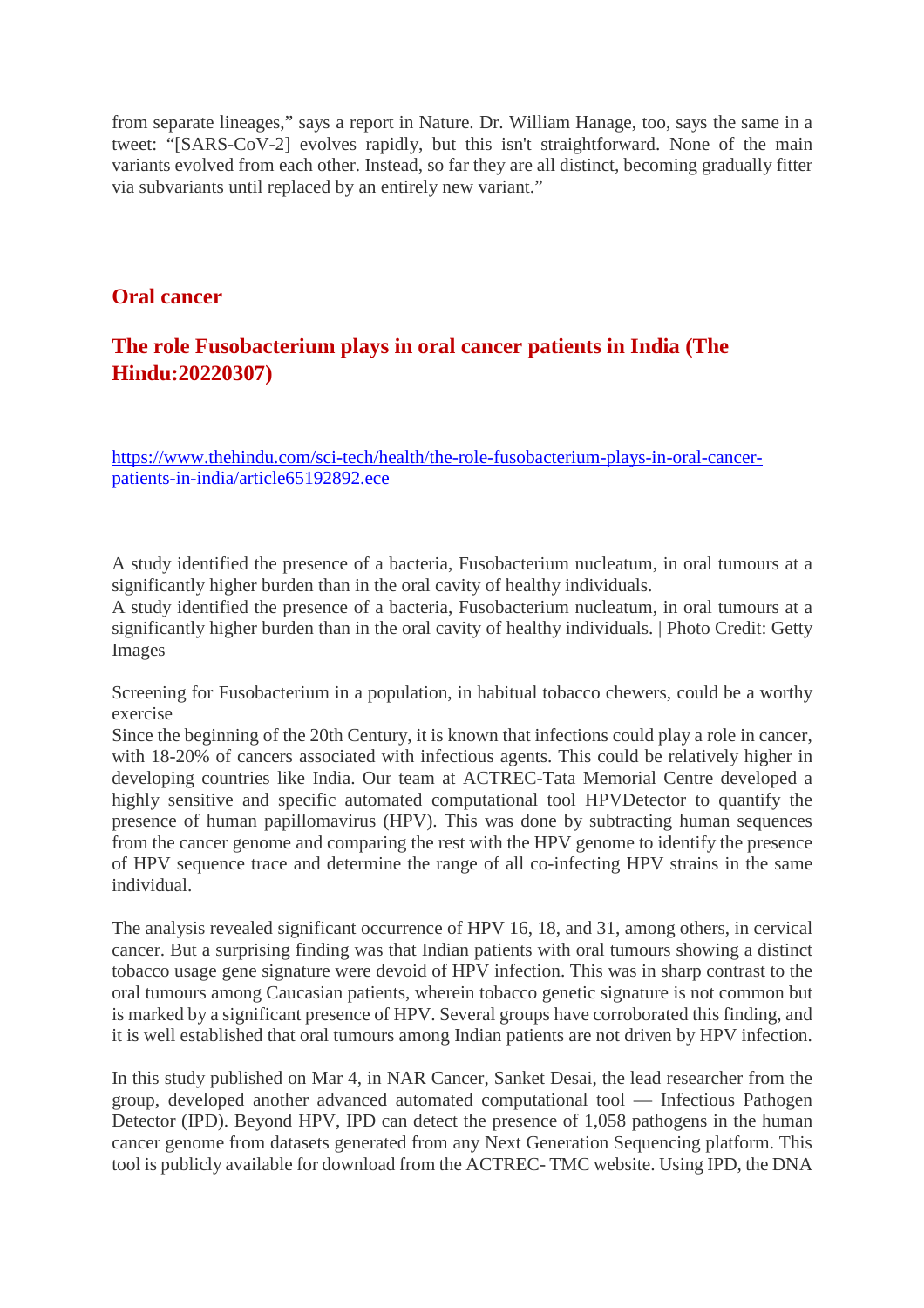from separate lineages," says a report in Nature. Dr. William Hanage, too, says the same in a tweet: "[SARS-CoV-2] evolves rapidly, but this isn't straightforward. None of the main variants evolved from each other. Instead, so far they are all distinct, becoming gradually fitter via subvariants until replaced by an entirely new variant."

### **Oral cancer**

# **The role Fusobacterium plays in oral cancer patients in India (The Hindu:20220307)**

https://www.thehindu.com/sci-tech/health/the-role-fusobacterium-plays-in-oral-cancerpatients-in-india/article65192892.ece

A study identified the presence of a bacteria, Fusobacterium nucleatum, in oral tumours at a significantly higher burden than in the oral cavity of healthy individuals.

A study identified the presence of a bacteria, Fusobacterium nucleatum, in oral tumours at a significantly higher burden than in the oral cavity of healthy individuals. | Photo Credit: Getty Images

Screening for Fusobacterium in a population, in habitual tobacco chewers, could be a worthy exercise

Since the beginning of the 20th Century, it is known that infections could play a role in cancer, with 18-20% of cancers associated with infectious agents. This could be relatively higher in developing countries like India. Our team at ACTREC-Tata Memorial Centre developed a highly sensitive and specific automated computational tool HPVDetector to quantify the presence of human papillomavirus (HPV). This was done by subtracting human sequences from the cancer genome and comparing the rest with the HPV genome to identify the presence of HPV sequence trace and determine the range of all co-infecting HPV strains in the same individual.

The analysis revealed significant occurrence of HPV 16, 18, and 31, among others, in cervical cancer. But a surprising finding was that Indian patients with oral tumours showing a distinct tobacco usage gene signature were devoid of HPV infection. This was in sharp contrast to the oral tumours among Caucasian patients, wherein tobacco genetic signature is not common but is marked by a significant presence of HPV. Several groups have corroborated this finding, and it is well established that oral tumours among Indian patients are not driven by HPV infection.

In this study published on Mar 4, in NAR Cancer, Sanket Desai, the lead researcher from the group, developed another advanced automated computational tool — Infectious Pathogen Detector (IPD). Beyond HPV, IPD can detect the presence of 1,058 pathogens in the human cancer genome from datasets generated from any Next Generation Sequencing platform. This tool is publicly available for download from the ACTREC- TMC website. Using IPD, the DNA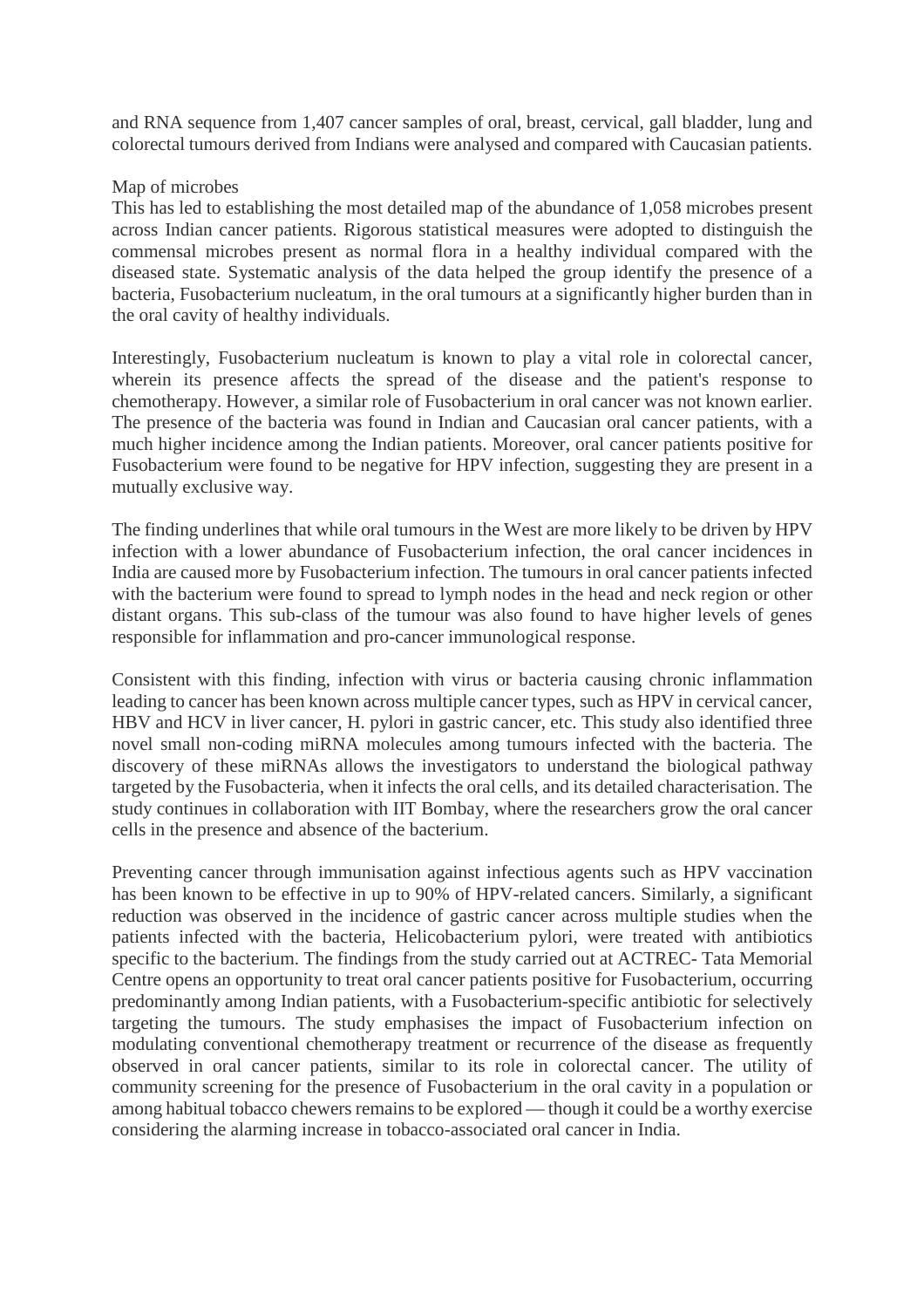and RNA sequence from 1,407 cancer samples of oral, breast, cervical, gall bladder, lung and colorectal tumours derived from Indians were analysed and compared with Caucasian patients.

### Map of microbes

This has led to establishing the most detailed map of the abundance of 1,058 microbes present across Indian cancer patients. Rigorous statistical measures were adopted to distinguish the commensal microbes present as normal flora in a healthy individual compared with the diseased state. Systematic analysis of the data helped the group identify the presence of a bacteria, Fusobacterium nucleatum, in the oral tumours at a significantly higher burden than in the oral cavity of healthy individuals.

Interestingly, Fusobacterium nucleatum is known to play a vital role in colorectal cancer, wherein its presence affects the spread of the disease and the patient's response to chemotherapy. However, a similar role of Fusobacterium in oral cancer was not known earlier. The presence of the bacteria was found in Indian and Caucasian oral cancer patients, with a much higher incidence among the Indian patients. Moreover, oral cancer patients positive for Fusobacterium were found to be negative for HPV infection, suggesting they are present in a mutually exclusive way.

The finding underlines that while oral tumours in the West are more likely to be driven by HPV infection with a lower abundance of Fusobacterium infection, the oral cancer incidences in India are caused more by Fusobacterium infection. The tumours in oral cancer patients infected with the bacterium were found to spread to lymph nodes in the head and neck region or other distant organs. This sub-class of the tumour was also found to have higher levels of genes responsible for inflammation and pro-cancer immunological response.

Consistent with this finding, infection with virus or bacteria causing chronic inflammation leading to cancer has been known across multiple cancer types, such as HPV in cervical cancer, HBV and HCV in liver cancer, H. pylori in gastric cancer, etc. This study also identified three novel small non-coding miRNA molecules among tumours infected with the bacteria. The discovery of these miRNAs allows the investigators to understand the biological pathway targeted by the Fusobacteria, when it infects the oral cells, and its detailed characterisation. The study continues in collaboration with IIT Bombay, where the researchers grow the oral cancer cells in the presence and absence of the bacterium.

Preventing cancer through immunisation against infectious agents such as HPV vaccination has been known to be effective in up to 90% of HPV-related cancers. Similarly, a significant reduction was observed in the incidence of gastric cancer across multiple studies when the patients infected with the bacteria, Helicobacterium pylori, were treated with antibiotics specific to the bacterium. The findings from the study carried out at ACTREC- Tata Memorial Centre opens an opportunity to treat oral cancer patients positive for Fusobacterium, occurring predominantly among Indian patients, with a Fusobacterium-specific antibiotic for selectively targeting the tumours. The study emphasises the impact of Fusobacterium infection on modulating conventional chemotherapy treatment or recurrence of the disease as frequently observed in oral cancer patients, similar to its role in colorectal cancer. The utility of community screening for the presence of Fusobacterium in the oral cavity in a population or among habitual tobacco chewers remains to be explored — though it could be a worthy exercise considering the alarming increase in tobacco-associated oral cancer in India.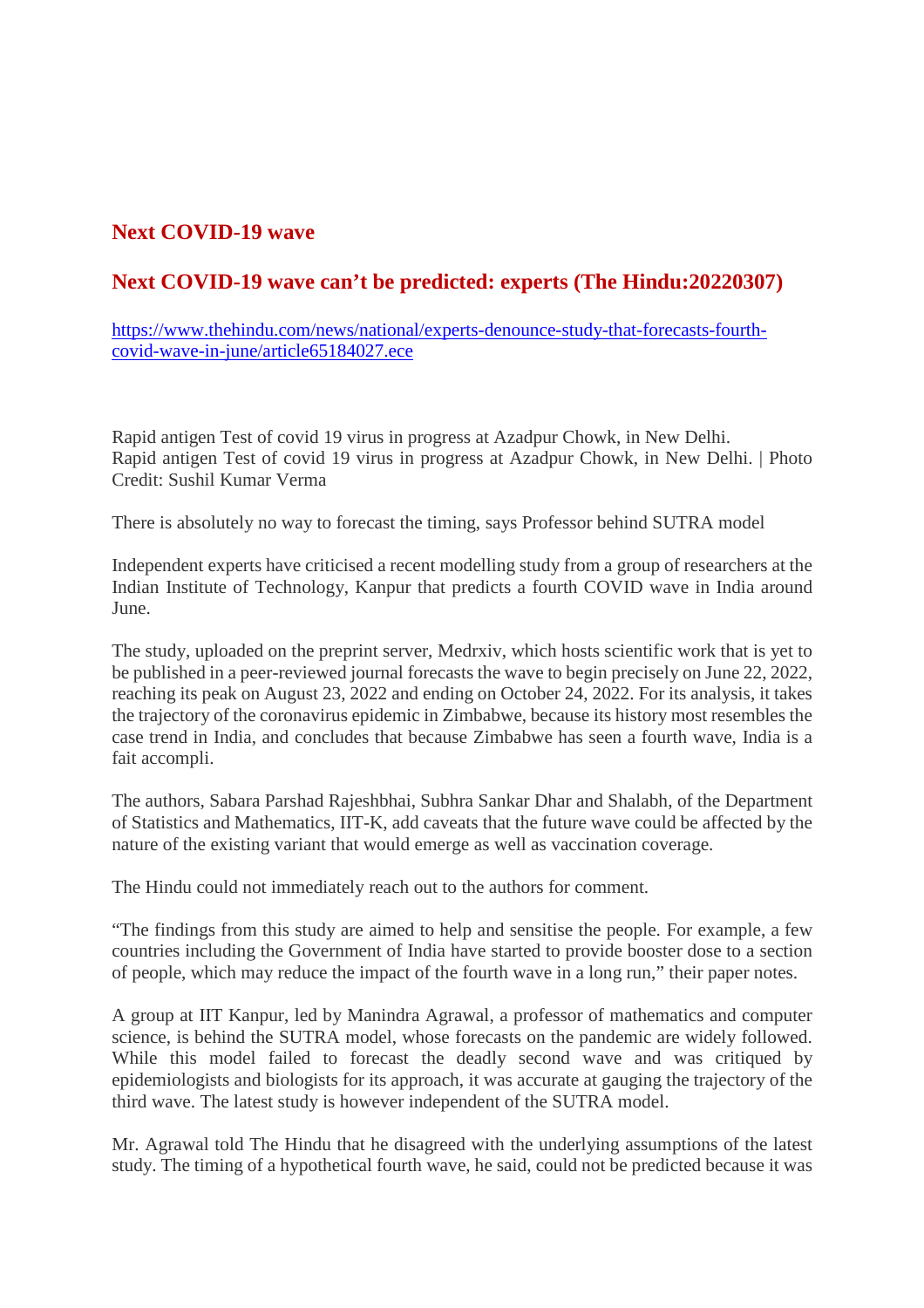# **Next COVID-19 wave**

# **Next COVID-19 wave can't be predicted: experts (The Hindu:20220307)**

https://www.thehindu.com/news/national/experts-denounce-study-that-forecasts-fourthcovid-wave-in-june/article65184027.ece

Rapid antigen Test of covid 19 virus in progress at Azadpur Chowk, in New Delhi. Rapid antigen Test of covid 19 virus in progress at Azadpur Chowk, in New Delhi. | Photo Credit: Sushil Kumar Verma

There is absolutely no way to forecast the timing, says Professor behind SUTRA model

Independent experts have criticised a recent modelling study from a group of researchers at the Indian Institute of Technology, Kanpur that predicts a fourth COVID wave in India around June.

The study, uploaded on the preprint server, Medrxiv, which hosts scientific work that is yet to be published in a peer-reviewed journal forecasts the wave to begin precisely on June 22, 2022, reaching its peak on August 23, 2022 and ending on October 24, 2022. For its analysis, it takes the trajectory of the coronavirus epidemic in Zimbabwe, because its history most resembles the case trend in India, and concludes that because Zimbabwe has seen a fourth wave, India is a fait accompli.

The authors, Sabara Parshad Rajeshbhai, Subhra Sankar Dhar and Shalabh, of the Department of Statistics and Mathematics, IIT-K, add caveats that the future wave could be affected by the nature of the existing variant that would emerge as well as vaccination coverage.

The Hindu could not immediately reach out to the authors for comment.

"The findings from this study are aimed to help and sensitise the people. For example, a few countries including the Government of India have started to provide booster dose to a section of people, which may reduce the impact of the fourth wave in a long run," their paper notes.

A group at IIT Kanpur, led by Manindra Agrawal, a professor of mathematics and computer science, is behind the SUTRA model, whose forecasts on the pandemic are widely followed. While this model failed to forecast the deadly second wave and was critiqued by epidemiologists and biologists for its approach, it was accurate at gauging the trajectory of the third wave. The latest study is however independent of the SUTRA model.

Mr. Agrawal told The Hindu that he disagreed with the underlying assumptions of the latest study. The timing of a hypothetical fourth wave, he said, could not be predicted because it was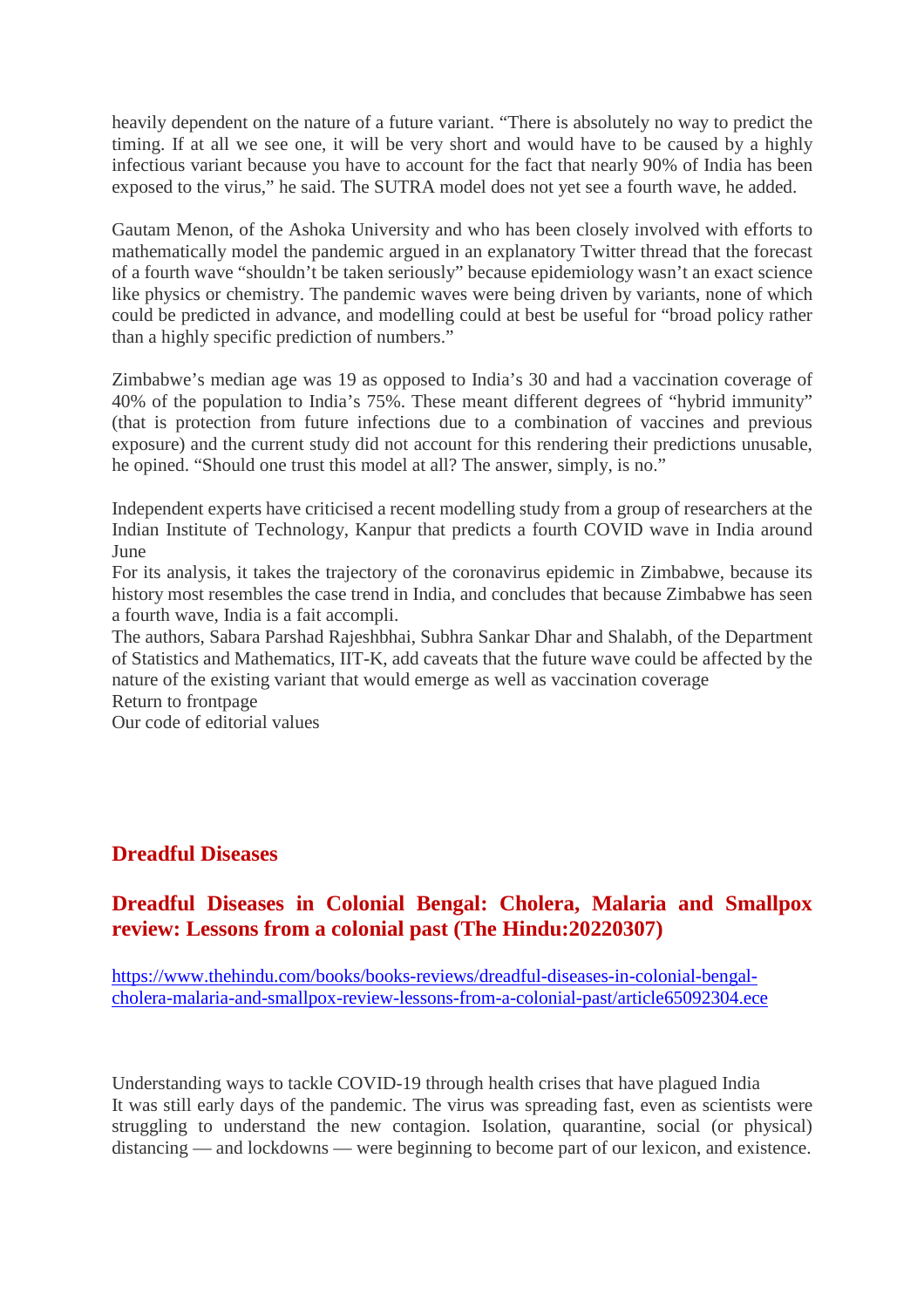heavily dependent on the nature of a future variant. "There is absolutely no way to predict the timing. If at all we see one, it will be very short and would have to be caused by a highly infectious variant because you have to account for the fact that nearly 90% of India has been exposed to the virus," he said. The SUTRA model does not yet see a fourth wave, he added.

Gautam Menon, of the Ashoka University and who has been closely involved with efforts to mathematically model the pandemic argued in an explanatory Twitter thread that the forecast of a fourth wave "shouldn't be taken seriously" because epidemiology wasn't an exact science like physics or chemistry. The pandemic waves were being driven by variants, none of which could be predicted in advance, and modelling could at best be useful for "broad policy rather than a highly specific prediction of numbers."

Zimbabwe's median age was 19 as opposed to India's 30 and had a vaccination coverage of 40% of the population to India's 75%. These meant different degrees of "hybrid immunity" (that is protection from future infections due to a combination of vaccines and previous exposure) and the current study did not account for this rendering their predictions unusable, he opined. "Should one trust this model at all? The answer, simply, is no."

Independent experts have criticised a recent modelling study from a group of researchers at the Indian Institute of Technology, Kanpur that predicts a fourth COVID wave in India around June

For its analysis, it takes the trajectory of the coronavirus epidemic in Zimbabwe, because its history most resembles the case trend in India, and concludes that because Zimbabwe has seen a fourth wave, India is a fait accompli.

The authors, Sabara Parshad Rajeshbhai, Subhra Sankar Dhar and Shalabh, of the Department of Statistics and Mathematics, IIT-K, add caveats that the future wave could be affected by the nature of the existing variant that would emerge as well as vaccination coverage Return to frontpage

Our code of editorial values

### **Dreadful Diseases**

### **Dreadful Diseases in Colonial Bengal: Cholera, Malaria and Smallpox review: Lessons from a colonial past (The Hindu:20220307)**

https://www.thehindu.com/books/books-reviews/dreadful-diseases-in-colonial-bengalcholera-malaria-and-smallpox-review-lessons-from-a-colonial-past/article65092304.ece

Understanding ways to tackle COVID-19 through health crises that have plagued India It was still early days of the pandemic. The virus was spreading fast, even as scientists were struggling to understand the new contagion. Isolation, quarantine, social (or physical) distancing — and lockdowns — were beginning to become part of our lexicon, and existence.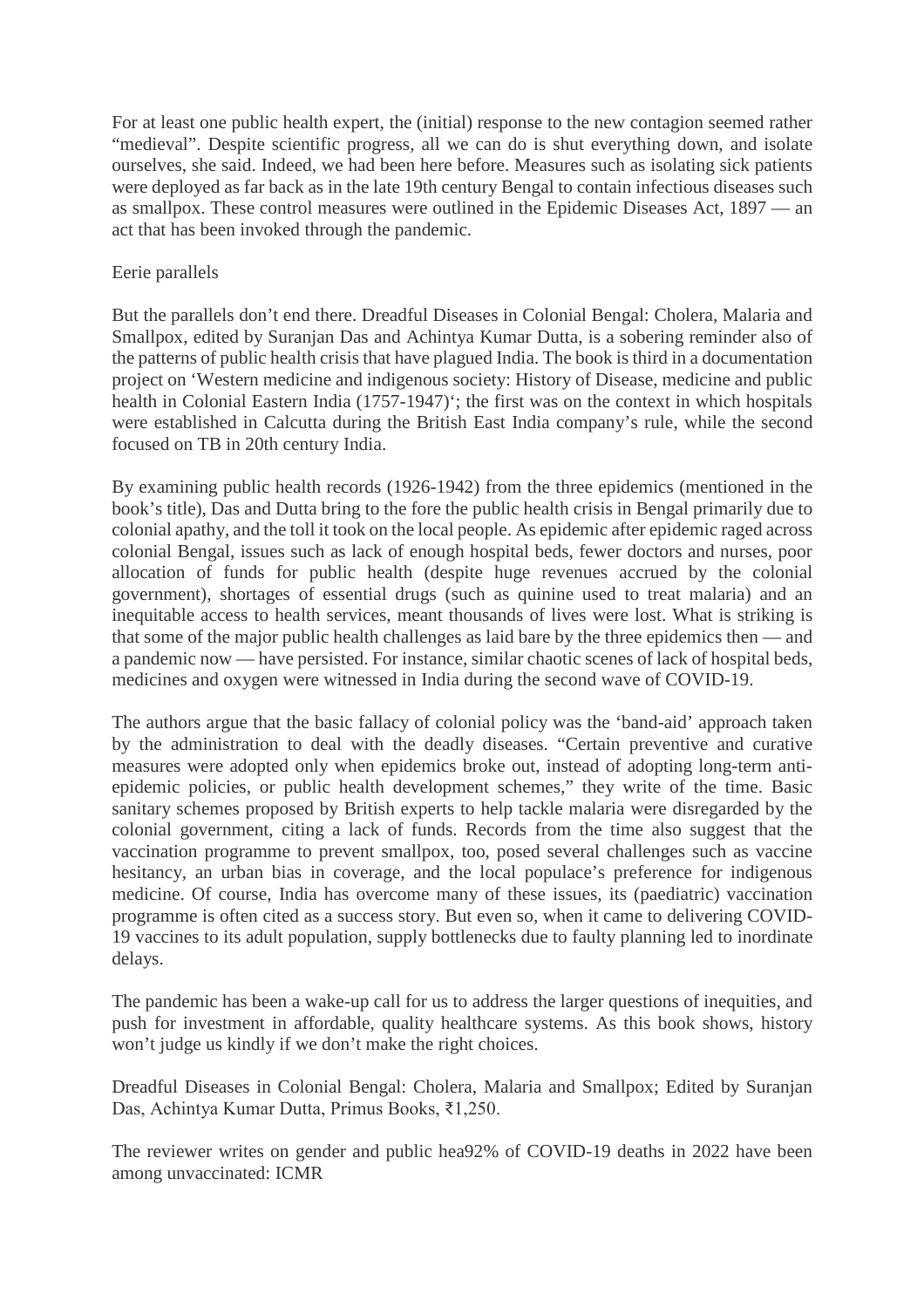For at least one public health expert, the (initial) response to the new contagion seemed rather "medieval". Despite scientific progress, all we can do is shut everything down, and isolate ourselves, she said. Indeed, we had been here before. Measures such as isolating sick patients were deployed as far back as in the late 19th century Bengal to contain infectious diseases such as smallpox. These control measures were outlined in the Epidemic Diseases Act, 1897 — an act that has been invoked through the pandemic.

### Eerie parallels

But the parallels don't end there. Dreadful Diseases in Colonial Bengal: Cholera, Malaria and Smallpox, edited by Suranjan Das and Achintya Kumar Dutta, is a sobering reminder also of the patterns of public health crisis that have plagued India. The book is third in a documentation project on 'Western medicine and indigenous society: History of Disease, medicine and public health in Colonial Eastern India (1757-1947); the first was on the context in which hospitals were established in Calcutta during the British East India company's rule, while the second focused on TB in 20th century India.

By examining public health records (1926-1942) from the three epidemics (mentioned in the book's title), Das and Dutta bring to the fore the public health crisis in Bengal primarily due to colonial apathy, and the toll it took on the local people. As epidemic after epidemic raged across colonial Bengal, issues such as lack of enough hospital beds, fewer doctors and nurses, poor allocation of funds for public health (despite huge revenues accrued by the colonial government), shortages of essential drugs (such as quinine used to treat malaria) and an inequitable access to health services, meant thousands of lives were lost. What is striking is that some of the major public health challenges as laid bare by the three epidemics then — and a pandemic now — have persisted. For instance, similar chaotic scenes of lack of hospital beds, medicines and oxygen were witnessed in India during the second wave of COVID-19.

The authors argue that the basic fallacy of colonial policy was the 'band-aid' approach taken by the administration to deal with the deadly diseases. "Certain preventive and curative measures were adopted only when epidemics broke out, instead of adopting long-term antiepidemic policies, or public health development schemes," they write of the time. Basic sanitary schemes proposed by British experts to help tackle malaria were disregarded by the colonial government, citing a lack of funds. Records from the time also suggest that the vaccination programme to prevent smallpox, too, posed several challenges such as vaccine hesitancy, an urban bias in coverage, and the local populace's preference for indigenous medicine. Of course, India has overcome many of these issues, its (paediatric) vaccination programme is often cited as a success story. But even so, when it came to delivering COVID-19 vaccines to its adult population, supply bottlenecks due to faulty planning led to inordinate delays.

The pandemic has been a wake-up call for us to address the larger questions of inequities, and push for investment in affordable, quality healthcare systems. As this book shows, history won't judge us kindly if we don't make the right choices.

Dreadful Diseases in Colonial Bengal: Cholera, Malaria and Smallpox; Edited by Suranjan Das, Achintya Kumar Dutta, Primus Books, ₹1,250.

The reviewer writes on gender and public hea92% of COVID-19 deaths in 2022 have been among unvaccinated: ICMR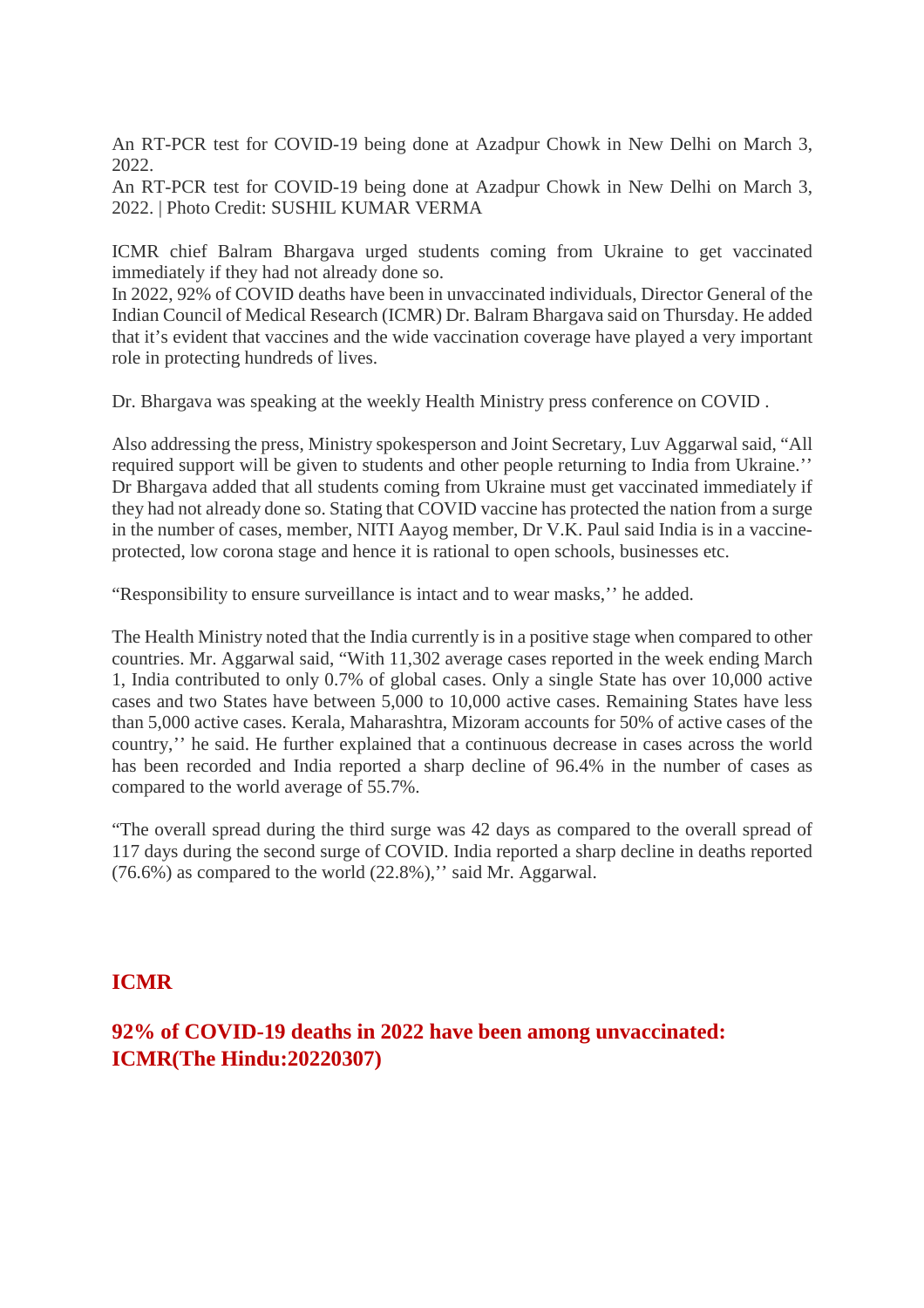An RT-PCR test for COVID-19 being done at Azadpur Chowk in New Delhi on March 3, 2022.

An RT-PCR test for COVID-19 being done at Azadpur Chowk in New Delhi on March 3, 2022. | Photo Credit: SUSHIL KUMAR VERMA

ICMR chief Balram Bhargava urged students coming from Ukraine to get vaccinated immediately if they had not already done so.

In 2022, 92% of COVID deaths have been in unvaccinated individuals, Director General of the Indian Council of Medical Research (ICMR) Dr. Balram Bhargava said on Thursday. He added that it's evident that vaccines and the wide vaccination coverage have played a very important role in protecting hundreds of lives.

Dr. Bhargava was speaking at the weekly Health Ministry press conference on COVID .

Also addressing the press, Ministry spokesperson and Joint Secretary, Luv Aggarwal said, "All required support will be given to students and other people returning to India from Ukraine.'' Dr Bhargava added that all students coming from Ukraine must get vaccinated immediately if they had not already done so. Stating that COVID vaccine has protected the nation from a surge in the number of cases, member, NITI Aayog member, Dr V.K. Paul said India is in a vaccineprotected, low corona stage and hence it is rational to open schools, businesses etc.

"Responsibility to ensure surveillance is intact and to wear masks,'' he added.

The Health Ministry noted that the India currently is in a positive stage when compared to other countries. Mr. Aggarwal said, "With 11,302 average cases reported in the week ending March 1, India contributed to only 0.7% of global cases. Only a single State has over 10,000 active cases and two States have between 5,000 to 10,000 active cases. Remaining States have less than 5,000 active cases. Kerala, Maharashtra, Mizoram accounts for 50% of active cases of the country,'' he said. He further explained that a continuous decrease in cases across the world has been recorded and India reported a sharp decline of 96.4% in the number of cases as compared to the world average of 55.7%.

"The overall spread during the third surge was 42 days as compared to the overall spread of 117 days during the second surge of COVID. India reported a sharp decline in deaths reported (76.6%) as compared to the world (22.8%),'' said Mr. Aggarwal.

### **ICMR**

**92% of COVID-19 deaths in 2022 have been among unvaccinated: ICMR(The Hindu:20220307)**